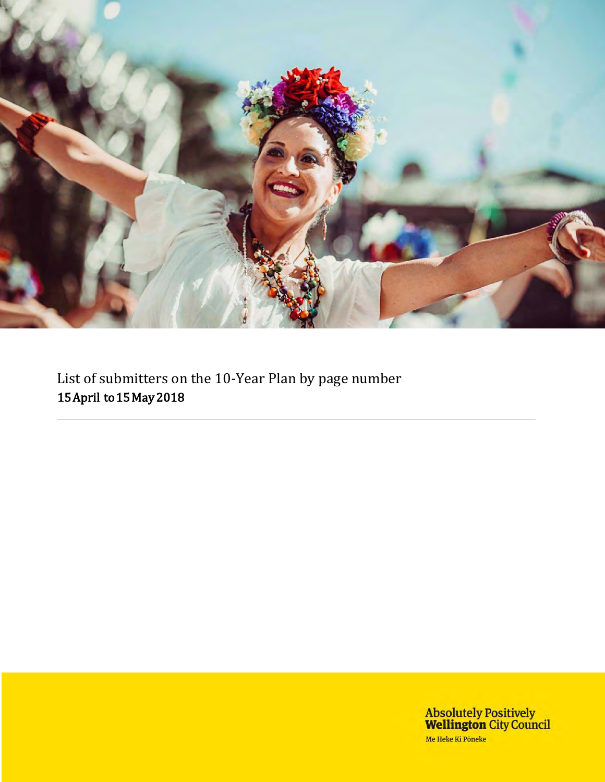

**\_\_\_\_\_\_\_\_\_\_\_\_\_\_\_\_\_\_\_\_\_\_\_\_\_\_\_\_\_\_\_\_\_\_\_\_\_\_\_\_\_\_\_\_\_\_\_\_\_\_\_\_\_\_\_\_\_\_\_\_\_\_\_\_\_\_\_**

List of submitters on the 10-Year Plan by page number 15 April to 15 May 2018

> Absolutely Positively<br>Wellington City Council Me Heke Ki Pôneke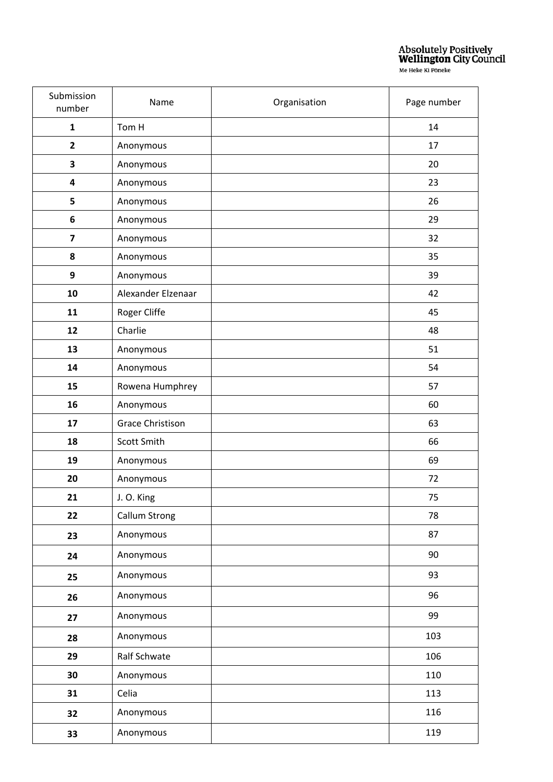| Submission<br>number    | Name                    | Organisation | Page number |
|-------------------------|-------------------------|--------------|-------------|
| $\mathbf{1}$            | Tom H                   |              | 14          |
| $\overline{\mathbf{2}}$ | Anonymous               |              | 17          |
| 3                       | Anonymous               |              | 20          |
| $\overline{\mathbf{4}}$ | Anonymous               |              | 23          |
| 5                       | Anonymous               |              | 26          |
| 6                       | Anonymous               |              | 29          |
| $\overline{\mathbf{z}}$ | Anonymous               |              | 32          |
| 8                       | Anonymous               |              | 35          |
| $\boldsymbol{9}$        | Anonymous               |              | 39          |
| 10                      | Alexander Elzenaar      |              | 42          |
| 11                      | Roger Cliffe            |              | 45          |
| 12                      | Charlie                 |              | 48          |
| 13                      | Anonymous               |              | 51          |
| 14                      | Anonymous               |              | 54          |
| 15                      | Rowena Humphrey         |              | 57          |
| 16                      | Anonymous               |              | 60          |
| 17                      | <b>Grace Christison</b> |              | 63          |
| 18                      | Scott Smith             |              | 66          |
| 19                      | Anonymous               |              | 69          |
| 20                      | Anonymous               |              | 72          |
| 21                      | J. O. King              |              | 75          |
| 22                      | Callum Strong           |              | 78          |
| 23                      | Anonymous               |              | 87          |
| 24                      | Anonymous               |              | 90          |
| 25                      | Anonymous               |              | 93          |
| 26                      | Anonymous               |              | 96          |
| 27                      | Anonymous               |              | 99          |
| 28                      | Anonymous               |              | 103         |
| 29                      | Ralf Schwate            |              | 106         |
| 30                      | Anonymous               |              | 110         |
| 31                      | Celia                   |              | 113         |
| 32                      | Anonymous               |              | 116         |
| 33                      | Anonymous               |              | 119         |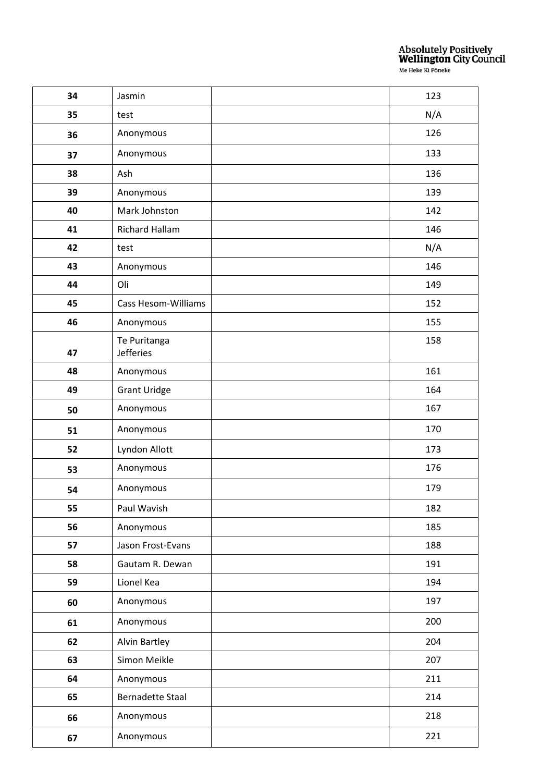| 34 | Jasmin                           | 123 |
|----|----------------------------------|-----|
| 35 | test                             | N/A |
| 36 | Anonymous                        | 126 |
| 37 | Anonymous                        | 133 |
| 38 | Ash                              | 136 |
| 39 | Anonymous                        | 139 |
| 40 | Mark Johnston                    | 142 |
| 41 | <b>Richard Hallam</b>            | 146 |
| 42 | test                             | N/A |
| 43 | Anonymous                        | 146 |
| 44 | Oli                              | 149 |
| 45 | <b>Cass Hesom-Williams</b>       | 152 |
| 46 | Anonymous                        | 155 |
| 47 | Te Puritanga<br><b>Jefferies</b> | 158 |
| 48 | Anonymous                        | 161 |
| 49 | <b>Grant Uridge</b>              | 164 |
| 50 | Anonymous                        | 167 |
| 51 | Anonymous                        | 170 |
| 52 | Lyndon Allott                    | 173 |
| 53 | Anonymous                        | 176 |
| 54 | Anonymous                        | 179 |
| 55 | Paul Wavish                      | 182 |
| 56 | Anonymous                        | 185 |
| 57 | Jason Frost-Evans                | 188 |
| 58 | Gautam R. Dewan                  | 191 |
| 59 | Lionel Kea                       | 194 |
| 60 | Anonymous                        | 197 |
| 61 | Anonymous                        | 200 |
| 62 | Alvin Bartley                    | 204 |
| 63 | Simon Meikle                     | 207 |
| 64 | Anonymous                        | 211 |
| 65 | <b>Bernadette Staal</b>          | 214 |
| 66 | Anonymous                        | 218 |
| 67 | Anonymous                        | 221 |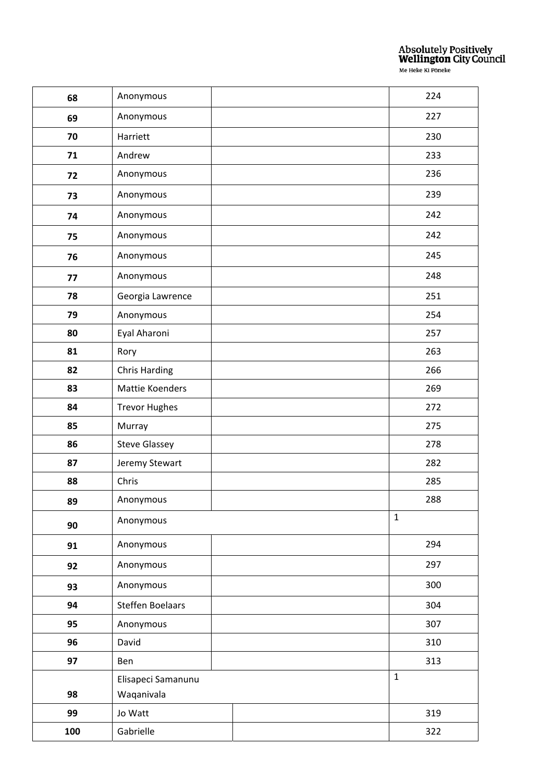| 68  | Anonymous               |  |              | 224 |
|-----|-------------------------|--|--------------|-----|
| 69  | Anonymous               |  |              | 227 |
| 70  | Harriett                |  |              | 230 |
| 71  | Andrew                  |  |              | 233 |
| 72  | Anonymous               |  |              | 236 |
| 73  | Anonymous               |  |              | 239 |
| 74  | Anonymous               |  |              | 242 |
| 75  | Anonymous               |  |              | 242 |
| 76  | Anonymous               |  |              | 245 |
| 77  | Anonymous               |  |              | 248 |
| 78  | Georgia Lawrence        |  |              | 251 |
| 79  | Anonymous               |  |              | 254 |
| 80  | Eyal Aharoni            |  |              | 257 |
| 81  | Rory                    |  |              | 263 |
| 82  | <b>Chris Harding</b>    |  |              | 266 |
| 83  | Mattie Koenders         |  |              | 269 |
| 84  | <b>Trevor Hughes</b>    |  |              | 272 |
| 85  | Murray                  |  |              | 275 |
| 86  | <b>Steve Glassey</b>    |  |              | 278 |
| 87  | Jeremy Stewart          |  |              | 282 |
| 88  | Chris                   |  |              | 285 |
| 89  | Anonymous               |  |              | 288 |
| 90  | Anonymous               |  | $\mathbf{1}$ |     |
| 91  | Anonymous               |  |              | 294 |
| 92  | Anonymous               |  |              | 297 |
| 93  | Anonymous               |  |              | 300 |
| 94  | <b>Steffen Boelaars</b> |  |              | 304 |
| 95  | Anonymous               |  |              | 307 |
| 96  | David                   |  |              | 310 |
| 97  | Ben                     |  |              | 313 |
|     | Elisapeci Samanunu      |  | $\mathbf{1}$ |     |
| 98  | Waqanivala              |  |              |     |
| 99  | Jo Watt                 |  |              | 319 |
| 100 | Gabrielle               |  |              | 322 |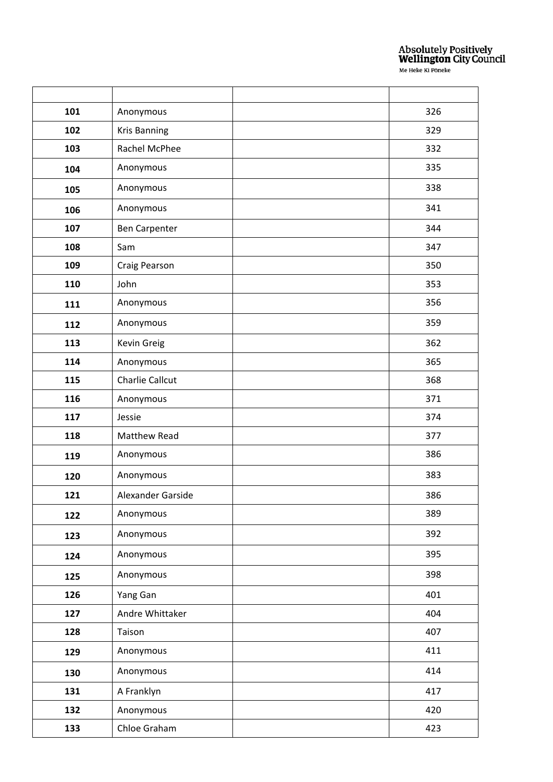| 101 | Anonymous            | 326 |
|-----|----------------------|-----|
| 102 | <b>Kris Banning</b>  | 329 |
| 103 | Rachel McPhee        | 332 |
| 104 | Anonymous            | 335 |
| 105 | Anonymous            | 338 |
| 106 | Anonymous            | 341 |
| 107 | <b>Ben Carpenter</b> | 344 |
| 108 | Sam                  | 347 |
| 109 | Craig Pearson        | 350 |
| 110 | John                 | 353 |
| 111 | Anonymous            | 356 |
| 112 | Anonymous            | 359 |
| 113 | Kevin Greig          | 362 |
| 114 | Anonymous            | 365 |
| 115 | Charlie Callcut      | 368 |
| 116 | Anonymous            | 371 |
| 117 | Jessie               | 374 |
| 118 | Matthew Read         | 377 |
| 119 | Anonymous            | 386 |
| 120 | Anonymous            | 383 |
| 121 | Alexander Garside    | 386 |
| 122 | Anonymous            | 389 |
| 123 | Anonymous            | 392 |
| 124 | Anonymous            | 395 |
| 125 | Anonymous            | 398 |
| 126 | Yang Gan             | 401 |
| 127 | Andre Whittaker      | 404 |
| 128 | Taison               | 407 |
| 129 | Anonymous            | 411 |
| 130 | Anonymous            | 414 |
| 131 | A Franklyn           | 417 |
| 132 | Anonymous            | 420 |
| 133 | Chloe Graham         | 423 |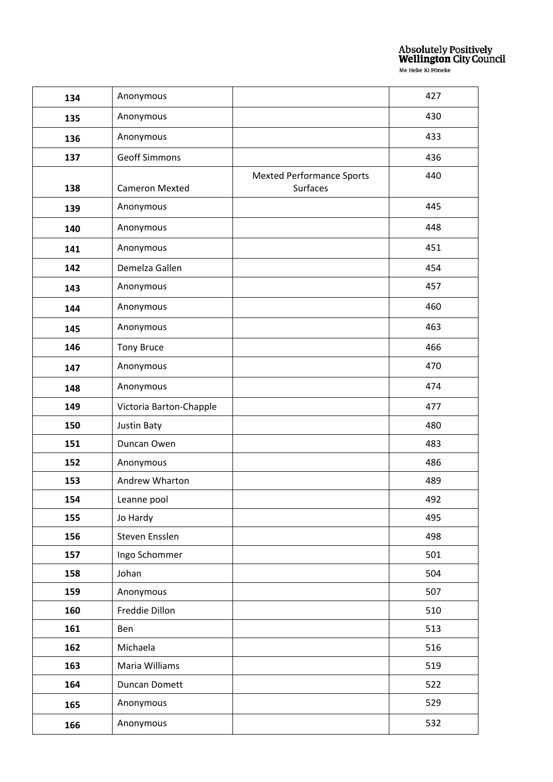| 134 | Anonymous               |                                              | 427 |
|-----|-------------------------|----------------------------------------------|-----|
| 135 | Anonymous               |                                              | 430 |
| 136 | Anonymous               |                                              | 433 |
| 137 | <b>Geoff Simmons</b>    |                                              | 436 |
| 138 | <b>Cameron Mexted</b>   | <b>Mexted Performance Sports</b><br>Surfaces | 440 |
| 139 | Anonymous               |                                              | 445 |
| 140 | Anonymous               |                                              | 448 |
| 141 | Anonymous               |                                              | 451 |
| 142 | Demelza Gallen          |                                              | 454 |
| 143 | Anonymous               |                                              | 457 |
| 144 | Anonymous               |                                              | 460 |
| 145 | Anonymous               |                                              | 463 |
| 146 | <b>Tony Bruce</b>       |                                              | 466 |
| 147 | Anonymous               |                                              | 470 |
| 148 | Anonymous               |                                              | 474 |
| 149 | Victoria Barton-Chapple |                                              | 477 |
| 150 | Justin Baty             |                                              | 480 |
| 151 | Duncan Owen             |                                              | 483 |
| 152 | Anonymous               |                                              | 486 |
| 153 | Andrew Wharton          |                                              | 489 |
| 154 | Leanne pool             |                                              | 492 |
| 155 | Jo Hardy                |                                              | 495 |
| 156 | Steven Ensslen          |                                              | 498 |
| 157 | Ingo Schommer           |                                              | 501 |
| 158 | Johan                   |                                              | 504 |
| 159 | Anonymous               |                                              | 507 |
| 160 | Freddie Dillon          |                                              | 510 |
| 161 | Ben                     |                                              | 513 |
| 162 | Michaela                |                                              | 516 |
| 163 | Maria Williams          |                                              | 519 |
| 164 | Duncan Domett           |                                              | 522 |
| 165 | Anonymous               |                                              | 529 |
| 166 | Anonymous               |                                              | 532 |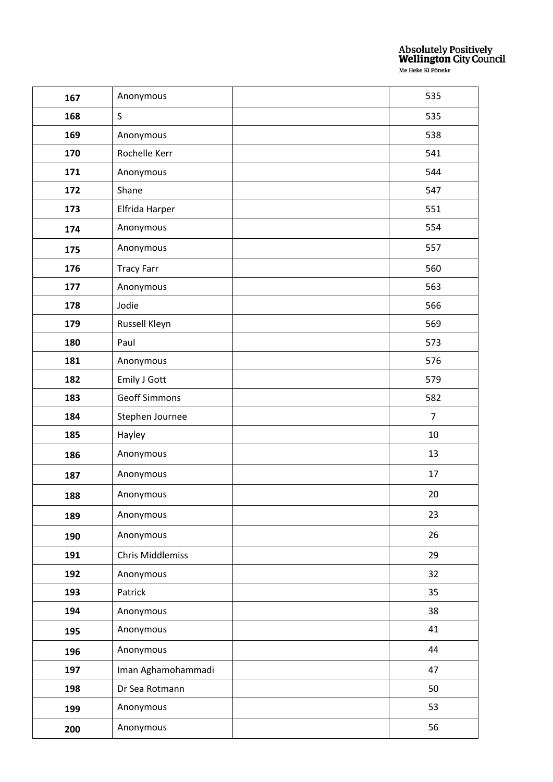| 167 | Anonymous               | 535            |
|-----|-------------------------|----------------|
| 168 | $\mathsf S$             | 535            |
| 169 | Anonymous               | 538            |
| 170 | Rochelle Kerr           | 541            |
| 171 | Anonymous               | 544            |
| 172 | Shane                   | 547            |
| 173 | Elfrida Harper          | 551            |
| 174 | Anonymous               | 554            |
| 175 | Anonymous               | 557            |
| 176 | <b>Tracy Farr</b>       | 560            |
| 177 | Anonymous               | 563            |
| 178 | Jodie                   | 566            |
| 179 | Russell Kleyn           | 569            |
| 180 | Paul                    | 573            |
| 181 | Anonymous               | 576            |
| 182 | <b>Emily J Gott</b>     | 579            |
| 183 | <b>Geoff Simmons</b>    | 582            |
| 184 | Stephen Journee         | $\overline{7}$ |
| 185 | Hayley                  | 10             |
| 186 | Anonymous               | 13             |
| 187 | Anonymous               | 17             |
| 188 | Anonymous               | 20             |
| 189 | Anonymous               | 23             |
| 190 | Anonymous               | 26             |
| 191 | <b>Chris Middlemiss</b> | 29             |
| 192 | Anonymous               | 32             |
| 193 | Patrick                 | 35             |
| 194 | Anonymous               | 38             |
| 195 | Anonymous               | 41             |
| 196 | Anonymous               | 44             |
| 197 | Iman Aghamohammadi      | 47             |
| 198 | Dr Sea Rotmann          | 50             |
| 199 | Anonymous               | 53             |
| 200 | Anonymous               | 56             |
|     |                         |                |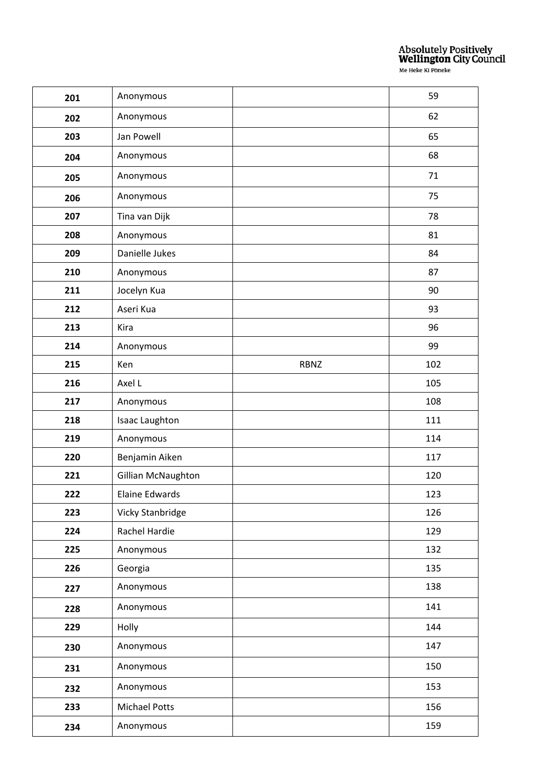| 201 | Anonymous             |             | 59  |
|-----|-----------------------|-------------|-----|
| 202 | Anonymous             |             | 62  |
| 203 | Jan Powell            |             | 65  |
| 204 | Anonymous             |             | 68  |
| 205 | Anonymous             |             | 71  |
| 206 | Anonymous             |             | 75  |
| 207 | Tina van Dijk         |             | 78  |
| 208 | Anonymous             |             | 81  |
| 209 | Danielle Jukes        |             | 84  |
| 210 | Anonymous             |             | 87  |
| 211 | Jocelyn Kua           |             | 90  |
| 212 | Aseri Kua             |             | 93  |
| 213 | Kira                  |             | 96  |
| 214 | Anonymous             |             | 99  |
| 215 | Ken                   | <b>RBNZ</b> | 102 |
| 216 | Axel L                |             | 105 |
| 217 | Anonymous             |             | 108 |
| 218 | <b>Isaac Laughton</b> |             | 111 |
| 219 | Anonymous             |             | 114 |
| 220 | Benjamin Aiken        |             | 117 |
| 221 | Gillian McNaughton    |             | 120 |
| 222 | <b>Elaine Edwards</b> |             | 123 |
| 223 | Vicky Stanbridge      |             | 126 |
| 224 | Rachel Hardie         |             | 129 |
| 225 | Anonymous             |             | 132 |
| 226 | Georgia               |             | 135 |
| 227 | Anonymous             |             | 138 |
| 228 | Anonymous             |             | 141 |
| 229 | Holly                 |             | 144 |
| 230 | Anonymous             |             | 147 |
| 231 | Anonymous             |             | 150 |
| 232 | Anonymous             |             | 153 |
| 233 | Michael Potts         |             | 156 |
| 234 | Anonymous             |             | 159 |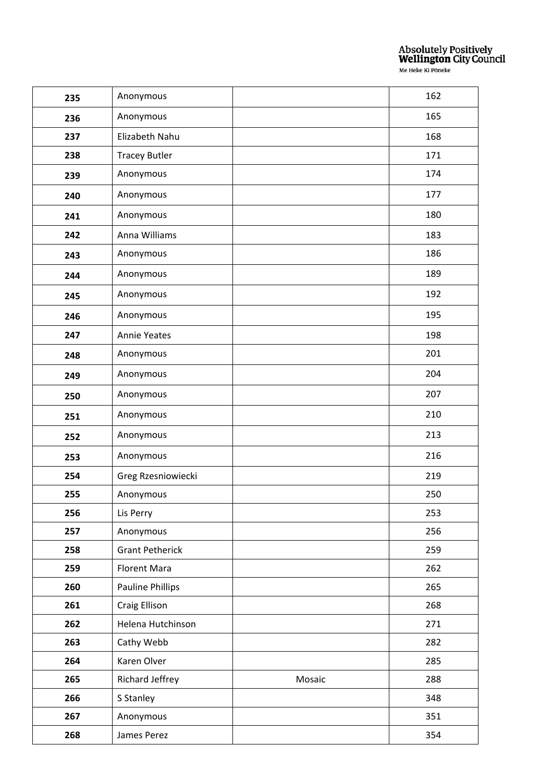| 235 | Anonymous               |        | 162 |
|-----|-------------------------|--------|-----|
| 236 | Anonymous               |        | 165 |
| 237 | Elizabeth Nahu          |        | 168 |
| 238 | <b>Tracey Butler</b>    |        | 171 |
| 239 | Anonymous               |        | 174 |
| 240 | Anonymous               |        | 177 |
| 241 | Anonymous               |        | 180 |
| 242 | Anna Williams           |        | 183 |
| 243 | Anonymous               |        | 186 |
| 244 | Anonymous               |        | 189 |
| 245 | Anonymous               |        | 192 |
| 246 | Anonymous               |        | 195 |
| 247 | <b>Annie Yeates</b>     |        | 198 |
| 248 | Anonymous               |        | 201 |
| 249 | Anonymous               |        | 204 |
| 250 | Anonymous               |        | 207 |
| 251 | Anonymous               |        | 210 |
| 252 | Anonymous               |        | 213 |
| 253 | Anonymous               |        | 216 |
| 254 | Greg Rzesniowiecki      |        | 219 |
| 255 | Anonymous               |        | 250 |
| 256 | Lis Perry               |        | 253 |
| 257 | Anonymous               |        | 256 |
| 258 | <b>Grant Petherick</b>  |        | 259 |
| 259 | <b>Florent Mara</b>     |        | 262 |
| 260 | <b>Pauline Phillips</b> |        | 265 |
| 261 | Craig Ellison           |        | 268 |
| 262 | Helena Hutchinson       |        | 271 |
| 263 | Cathy Webb              |        | 282 |
| 264 | Karen Olver             |        | 285 |
| 265 | Richard Jeffrey         | Mosaic | 288 |
| 266 | S Stanley               |        | 348 |
| 267 | Anonymous               |        | 351 |
| 268 | James Perez             |        | 354 |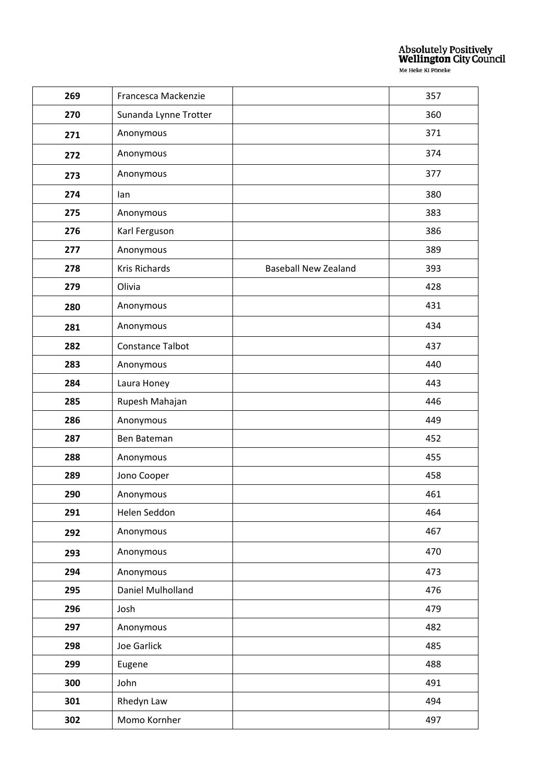| 269 | Francesca Mackenzie   |                             | 357 |
|-----|-----------------------|-----------------------------|-----|
| 270 | Sunanda Lynne Trotter |                             | 360 |
| 271 | Anonymous             |                             | 371 |
| 272 | Anonymous             |                             | 374 |
| 273 | Anonymous             |                             | 377 |
| 274 | lan                   |                             | 380 |
| 275 | Anonymous             |                             | 383 |
| 276 | Karl Ferguson         |                             | 386 |
| 277 | Anonymous             |                             | 389 |
| 278 | Kris Richards         | <b>Baseball New Zealand</b> | 393 |
| 279 | Olivia                |                             | 428 |
| 280 | Anonymous             |                             | 431 |
| 281 | Anonymous             |                             | 434 |
| 282 | Constance Talbot      |                             | 437 |
| 283 | Anonymous             |                             | 440 |
| 284 | Laura Honey           |                             | 443 |
| 285 | Rupesh Mahajan        |                             | 446 |
| 286 | Anonymous             |                             | 449 |
| 287 | Ben Bateman           |                             | 452 |
| 288 | Anonymous             |                             | 455 |
| 289 | Jono Cooper           |                             | 458 |
| 290 | Anonymous             |                             | 461 |
| 291 | Helen Seddon          |                             | 464 |
| 292 | Anonymous             |                             | 467 |
| 293 | Anonymous             |                             | 470 |
| 294 | Anonymous             |                             | 473 |
| 295 | Daniel Mulholland     |                             | 476 |
| 296 | Josh                  |                             | 479 |
| 297 | Anonymous             |                             | 482 |
| 298 | Joe Garlick           |                             | 485 |
| 299 | Eugene                |                             | 488 |
| 300 | John                  |                             | 491 |
| 301 | Rhedyn Law            |                             | 494 |
| 302 | Momo Kornher          |                             | 497 |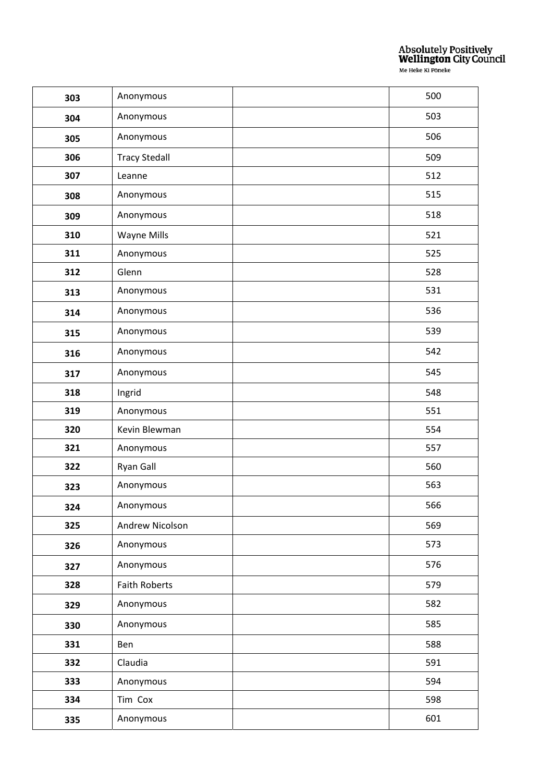| 303 | Anonymous            | 500 |
|-----|----------------------|-----|
| 304 | Anonymous            | 503 |
| 305 | Anonymous            | 506 |
| 306 | <b>Tracy Stedall</b> | 509 |
| 307 | Leanne               | 512 |
| 308 | Anonymous            | 515 |
| 309 | Anonymous            | 518 |
| 310 | Wayne Mills          | 521 |
| 311 | Anonymous            | 525 |
| 312 | Glenn                | 528 |
| 313 | Anonymous            | 531 |
| 314 | Anonymous            | 536 |
| 315 | Anonymous            | 539 |
| 316 | Anonymous            | 542 |
| 317 | Anonymous            | 545 |
| 318 | Ingrid               | 548 |
| 319 | Anonymous            | 551 |
| 320 | Kevin Blewman        | 554 |
| 321 | Anonymous            | 557 |
| 322 | Ryan Gall            | 560 |
| 323 | Anonymous            | 563 |
| 324 | Anonymous            | 566 |
| 325 | Andrew Nicolson      | 569 |
| 326 | Anonymous            | 573 |
| 327 | Anonymous            | 576 |
| 328 | <b>Faith Roberts</b> | 579 |
| 329 | Anonymous            | 582 |
| 330 | Anonymous            | 585 |
| 331 | Ben                  | 588 |
| 332 | Claudia              | 591 |
| 333 | Anonymous            | 594 |
| 334 | Tim Cox              | 598 |
| 335 | Anonymous            | 601 |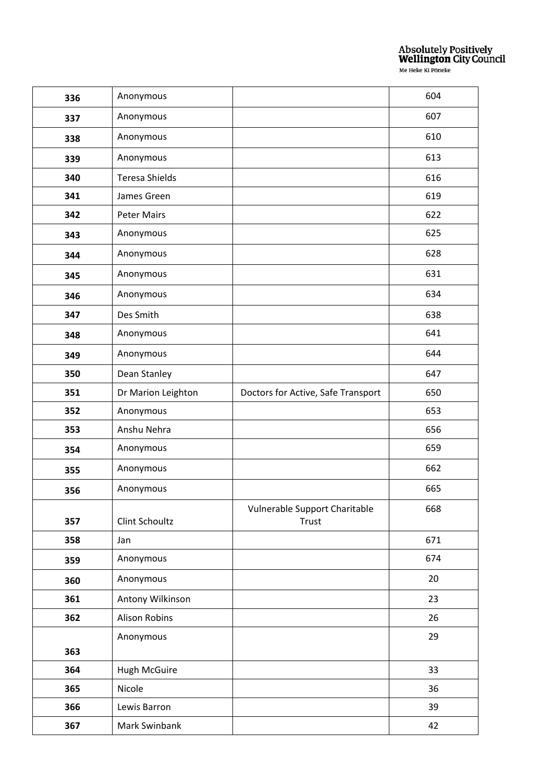| 336 | Anonymous             |                                        | 604 |
|-----|-----------------------|----------------------------------------|-----|
| 337 | Anonymous             |                                        | 607 |
| 338 | Anonymous             |                                        | 610 |
| 339 | Anonymous             |                                        | 613 |
| 340 | <b>Teresa Shields</b> |                                        | 616 |
| 341 | James Green           |                                        | 619 |
| 342 | <b>Peter Mairs</b>    |                                        | 622 |
| 343 | Anonymous             |                                        | 625 |
| 344 | Anonymous             |                                        | 628 |
| 345 | Anonymous             |                                        | 631 |
| 346 | Anonymous             |                                        | 634 |
| 347 | Des Smith             |                                        | 638 |
| 348 | Anonymous             |                                        | 641 |
| 349 | Anonymous             |                                        | 644 |
| 350 | Dean Stanley          |                                        | 647 |
| 351 | Dr Marion Leighton    | Doctors for Active, Safe Transport     | 650 |
| 352 | Anonymous             |                                        | 653 |
| 353 | Anshu Nehra           |                                        | 656 |
| 354 | Anonymous             |                                        | 659 |
| 355 | Anonymous             |                                        | 662 |
| 356 | Anonymous             |                                        | 665 |
| 357 | Clint Schoultz        | Vulnerable Support Charitable<br>Trust | 668 |
| 358 | Jan                   |                                        | 671 |
| 359 | Anonymous             |                                        | 674 |
| 360 | Anonymous             |                                        | 20  |
| 361 | Antony Wilkinson      |                                        | 23  |
| 362 | <b>Alison Robins</b>  |                                        | 26  |
|     | Anonymous             |                                        | 29  |
| 363 |                       |                                        |     |
| 364 | <b>Hugh McGuire</b>   |                                        | 33  |
| 365 | Nicole                |                                        | 36  |
| 366 | Lewis Barron          |                                        | 39  |
| 367 | Mark Swinbank         |                                        | 42  |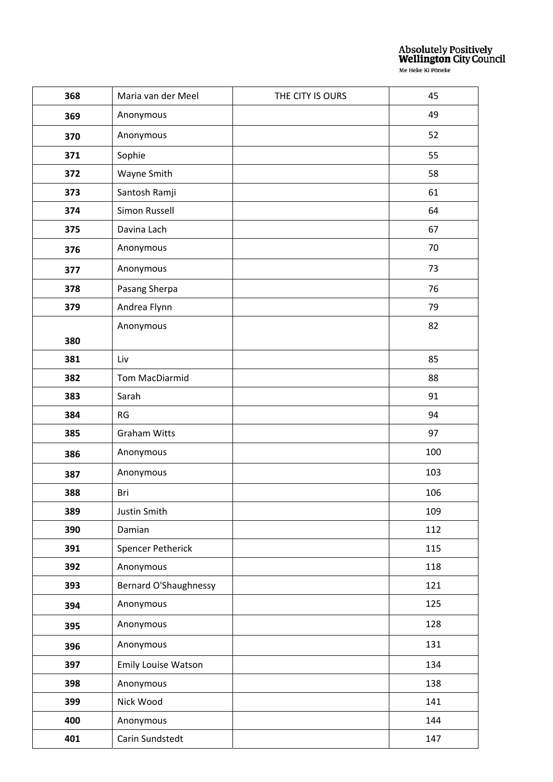| 368 | Maria van der Meel           | THE CITY IS OURS | 45  |
|-----|------------------------------|------------------|-----|
| 369 | Anonymous                    |                  | 49  |
| 370 | Anonymous                    |                  | 52  |
| 371 | Sophie                       |                  | 55  |
| 372 | Wayne Smith                  |                  | 58  |
| 373 | Santosh Ramji                |                  | 61  |
| 374 | Simon Russell                |                  | 64  |
| 375 | Davina Lach                  |                  | 67  |
| 376 | Anonymous                    |                  | 70  |
| 377 | Anonymous                    |                  | 73  |
| 378 | Pasang Sherpa                |                  | 76  |
| 379 | Andrea Flynn                 |                  | 79  |
|     | Anonymous                    |                  | 82  |
| 380 |                              |                  |     |
| 381 | Liv                          |                  | 85  |
| 382 | Tom MacDiarmid               |                  | 88  |
| 383 | Sarah                        |                  | 91  |
| 384 | <b>RG</b>                    |                  | 94  |
| 385 | <b>Graham Witts</b>          |                  | 97  |
| 386 | Anonymous                    |                  | 100 |
| 387 | Anonymous                    |                  | 103 |
| 388 | Bri                          |                  | 106 |
| 389 | Justin Smith                 |                  | 109 |
| 390 | Damian                       |                  | 112 |
| 391 | <b>Spencer Petherick</b>     |                  | 115 |
| 392 | Anonymous                    |                  | 118 |
| 393 | <b>Bernard O'Shaughnessy</b> |                  | 121 |
| 394 | Anonymous                    |                  | 125 |
| 395 | Anonymous                    |                  | 128 |
| 396 | Anonymous                    |                  | 131 |
| 397 | <b>Emily Louise Watson</b>   |                  | 134 |
| 398 | Anonymous                    |                  | 138 |
| 399 | Nick Wood                    |                  | 141 |
| 400 | Anonymous                    |                  | 144 |
| 401 | Carin Sundstedt              |                  | 147 |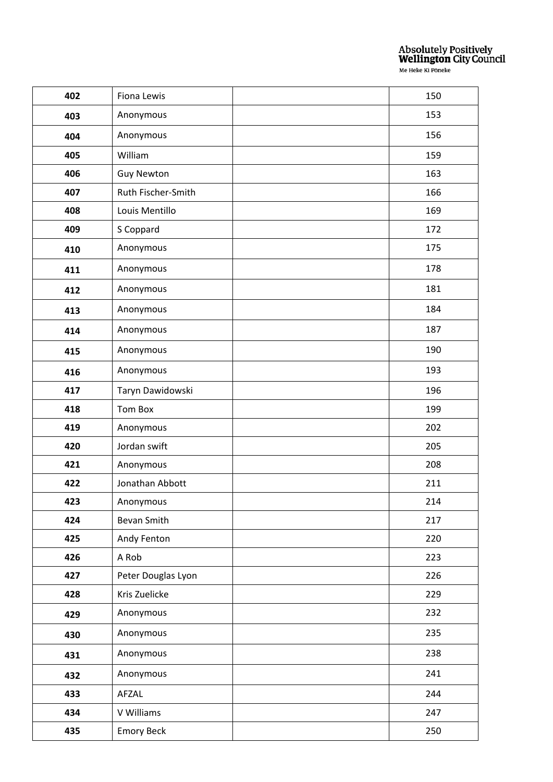| 402 | Fiona Lewis        | 150 |
|-----|--------------------|-----|
| 403 | Anonymous          | 153 |
| 404 | Anonymous          | 156 |
| 405 | William            | 159 |
| 406 | <b>Guy Newton</b>  | 163 |
| 407 | Ruth Fischer-Smith | 166 |
| 408 | Louis Mentillo     | 169 |
| 409 | S Coppard          | 172 |
| 410 | Anonymous          | 175 |
| 411 | Anonymous          | 178 |
| 412 | Anonymous          | 181 |
| 413 | Anonymous          | 184 |
| 414 | Anonymous          | 187 |
| 415 | Anonymous          | 190 |
| 416 | Anonymous          | 193 |
| 417 | Taryn Dawidowski   | 196 |
| 418 | <b>Tom Box</b>     | 199 |
| 419 | Anonymous          | 202 |
| 420 | Jordan swift       | 205 |
| 421 | Anonymous          | 208 |
| 422 | Jonathan Abbott    | 211 |
| 423 | Anonymous          | 214 |
| 424 | Bevan Smith        | 217 |
| 425 | Andy Fenton        | 220 |
| 426 | A Rob              | 223 |
| 427 | Peter Douglas Lyon | 226 |
| 428 | Kris Zuelicke      | 229 |
| 429 | Anonymous          | 232 |
| 430 | Anonymous          | 235 |
| 431 | Anonymous          | 238 |
| 432 | Anonymous          | 241 |
| 433 | AFZAL              | 244 |
| 434 | V Williams         | 247 |
| 435 | <b>Emory Beck</b>  | 250 |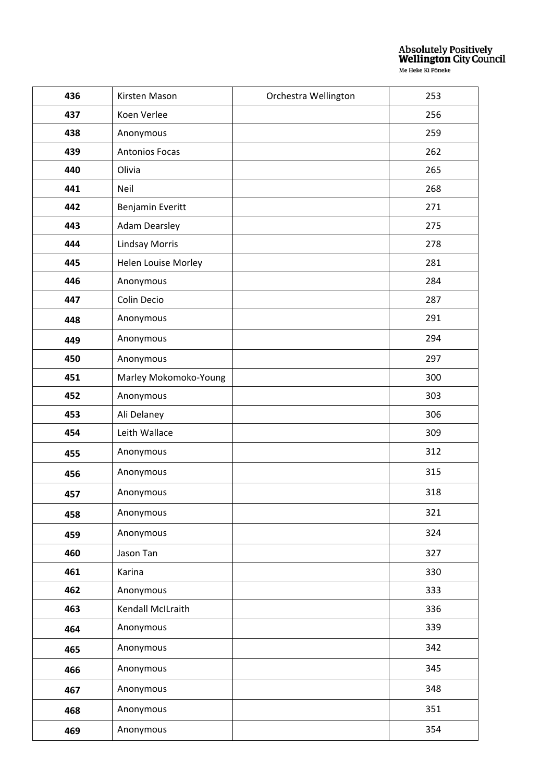| 436 | Kirsten Mason         | Orchestra Wellington | 253 |
|-----|-----------------------|----------------------|-----|
| 437 | Koen Verlee           |                      | 256 |
| 438 | Anonymous             |                      | 259 |
| 439 | <b>Antonios Focas</b> |                      | 262 |
| 440 | Olivia                |                      | 265 |
| 441 | Neil                  |                      | 268 |
| 442 | Benjamin Everitt      |                      | 271 |
| 443 | <b>Adam Dearsley</b>  |                      | 275 |
| 444 | <b>Lindsay Morris</b> |                      | 278 |
| 445 | Helen Louise Morley   |                      | 281 |
| 446 | Anonymous             |                      | 284 |
| 447 | Colin Decio           |                      | 287 |
| 448 | Anonymous             |                      | 291 |
| 449 | Anonymous             |                      | 294 |
| 450 | Anonymous             |                      | 297 |
| 451 | Marley Mokomoko-Young |                      | 300 |
| 452 | Anonymous             |                      | 303 |
| 453 | Ali Delaney           |                      | 306 |
| 454 | Leith Wallace         |                      | 309 |
| 455 | Anonymous             |                      | 312 |
| 456 | Anonymous             |                      | 315 |
| 457 | Anonymous             |                      | 318 |
| 458 | Anonymous             |                      | 321 |
| 459 | Anonymous             |                      | 324 |
| 460 | Jason Tan             |                      | 327 |
| 461 | Karina                |                      | 330 |
| 462 | Anonymous             |                      | 333 |
| 463 | Kendall McILraith     |                      | 336 |
| 464 | Anonymous             |                      | 339 |
| 465 | Anonymous             |                      | 342 |
| 466 | Anonymous             |                      | 345 |
| 467 | Anonymous             |                      | 348 |
| 468 | Anonymous             |                      | 351 |
| 469 | Anonymous             |                      | 354 |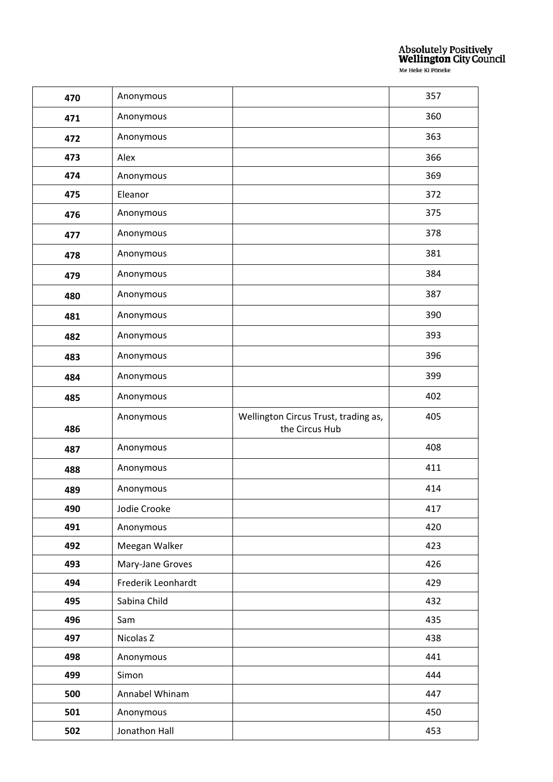| 470 | Anonymous          |                                      | 357 |
|-----|--------------------|--------------------------------------|-----|
| 471 | Anonymous          |                                      | 360 |
| 472 | Anonymous          |                                      | 363 |
| 473 | Alex               |                                      | 366 |
| 474 | Anonymous          |                                      | 369 |
| 475 | Eleanor            |                                      | 372 |
| 476 | Anonymous          |                                      | 375 |
| 477 | Anonymous          |                                      | 378 |
| 478 | Anonymous          |                                      | 381 |
| 479 | Anonymous          |                                      | 384 |
| 480 | Anonymous          |                                      | 387 |
| 481 | Anonymous          |                                      | 390 |
| 482 | Anonymous          |                                      | 393 |
| 483 | Anonymous          |                                      | 396 |
| 484 | Anonymous          |                                      | 399 |
| 485 | Anonymous          |                                      | 402 |
|     |                    |                                      |     |
|     | Anonymous          | Wellington Circus Trust, trading as, | 405 |
| 486 |                    | the Circus Hub                       |     |
| 487 | Anonymous          |                                      | 408 |
| 488 | Anonymous          |                                      | 411 |
| 489 | Anonymous          |                                      | 414 |
| 490 | Jodie Crooke       |                                      | 417 |
| 491 | Anonymous          |                                      | 420 |
| 492 | Meegan Walker      |                                      | 423 |
| 493 | Mary-Jane Groves   |                                      | 426 |
| 494 | Frederik Leonhardt |                                      | 429 |
| 495 | Sabina Child       |                                      | 432 |
| 496 | Sam                |                                      | 435 |
| 497 | Nicolas Z          |                                      | 438 |
| 498 | Anonymous          |                                      | 441 |
| 499 | Simon              |                                      | 444 |
| 500 | Annabel Whinam     |                                      | 447 |
| 501 | Anonymous          |                                      | 450 |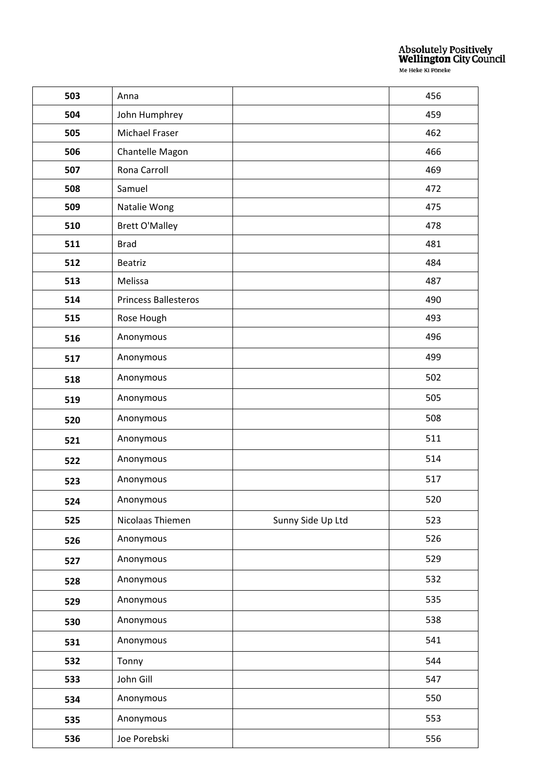| 503 | Anna                        |                   | 456 |
|-----|-----------------------------|-------------------|-----|
| 504 | John Humphrey               |                   | 459 |
| 505 | Michael Fraser              |                   | 462 |
| 506 | Chantelle Magon             |                   | 466 |
| 507 | Rona Carroll                |                   | 469 |
| 508 | Samuel                      |                   | 472 |
| 509 | Natalie Wong                |                   | 475 |
| 510 | <b>Brett O'Malley</b>       |                   | 478 |
| 511 | <b>Brad</b>                 |                   | 481 |
| 512 | Beatriz                     |                   | 484 |
| 513 | Melissa                     |                   | 487 |
| 514 | <b>Princess Ballesteros</b> |                   | 490 |
| 515 | Rose Hough                  |                   | 493 |
| 516 | Anonymous                   |                   | 496 |
| 517 | Anonymous                   |                   | 499 |
| 518 | Anonymous                   |                   | 502 |
| 519 | Anonymous                   |                   | 505 |
| 520 | Anonymous                   |                   | 508 |
| 521 | Anonymous                   |                   | 511 |
| 522 | Anonymous                   |                   | 514 |
| 523 | Anonymous                   |                   | 517 |
| 524 | Anonymous                   |                   | 520 |
| 525 | Nicolaas Thiemen            | Sunny Side Up Ltd | 523 |
| 526 | Anonymous                   |                   | 526 |
| 527 | Anonymous                   |                   | 529 |
| 528 | Anonymous                   |                   | 532 |
| 529 | Anonymous                   |                   | 535 |
| 530 | Anonymous                   |                   | 538 |
| 531 | Anonymous                   |                   | 541 |
| 532 | Tonny                       |                   | 544 |
| 533 | John Gill                   |                   | 547 |
| 534 | Anonymous                   |                   | 550 |
| 535 | Anonymous                   |                   | 553 |
| 536 | Joe Porebski                |                   | 556 |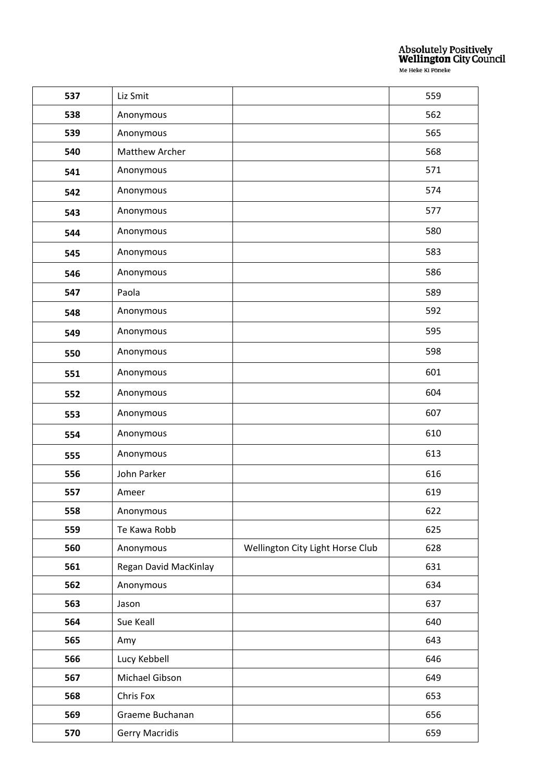| 537 | Liz Smit              |                                  | 559 |
|-----|-----------------------|----------------------------------|-----|
| 538 | Anonymous             |                                  | 562 |
| 539 | Anonymous             |                                  | 565 |
| 540 | <b>Matthew Archer</b> |                                  | 568 |
| 541 | Anonymous             |                                  | 571 |
| 542 | Anonymous             |                                  | 574 |
| 543 | Anonymous             |                                  | 577 |
| 544 | Anonymous             |                                  | 580 |
| 545 | Anonymous             |                                  | 583 |
| 546 | Anonymous             |                                  | 586 |
| 547 | Paola                 |                                  | 589 |
| 548 | Anonymous             |                                  | 592 |
| 549 | Anonymous             |                                  | 595 |
| 550 | Anonymous             |                                  | 598 |
| 551 | Anonymous             |                                  | 601 |
| 552 | Anonymous             |                                  | 604 |
| 553 | Anonymous             |                                  | 607 |
| 554 | Anonymous             |                                  | 610 |
| 555 | Anonymous             |                                  | 613 |
| 556 | John Parker           |                                  | 616 |
| 557 | Ameer                 |                                  | 619 |
| 558 | Anonymous             |                                  | 622 |
| 559 | Te Kawa Robb          |                                  | 625 |
| 560 | Anonymous             | Wellington City Light Horse Club | 628 |
| 561 | Regan David MacKinlay |                                  | 631 |
| 562 | Anonymous             |                                  | 634 |
| 563 | Jason                 |                                  | 637 |
| 564 | Sue Keall             |                                  | 640 |
| 565 | Amy                   |                                  | 643 |
| 566 | Lucy Kebbell          |                                  | 646 |
| 567 | Michael Gibson        |                                  | 649 |
| 568 | Chris Fox             |                                  | 653 |
| 569 | Graeme Buchanan       |                                  | 656 |
| 570 | <b>Gerry Macridis</b> |                                  | 659 |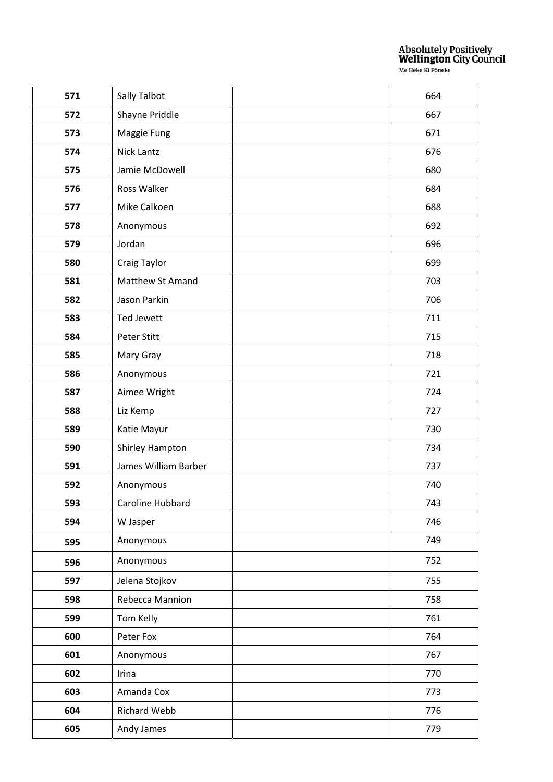| 571 | Sally Talbot         | 664 |
|-----|----------------------|-----|
| 572 | Shayne Priddle       | 667 |
| 573 | Maggie Fung          | 671 |
| 574 | Nick Lantz           | 676 |
| 575 | Jamie McDowell       | 680 |
| 576 | Ross Walker          | 684 |
| 577 | Mike Calkoen         | 688 |
| 578 | Anonymous            | 692 |
| 579 | Jordan               | 696 |
| 580 | Craig Taylor         | 699 |
| 581 | Matthew St Amand     | 703 |
| 582 | Jason Parkin         | 706 |
| 583 | Ted Jewett           | 711 |
| 584 | <b>Peter Stitt</b>   | 715 |
| 585 | Mary Gray            | 718 |
| 586 | Anonymous            | 721 |
| 587 | Aimee Wright         | 724 |
| 588 | Liz Kemp             | 727 |
| 589 | Katie Mayur          | 730 |
| 590 | Shirley Hampton      | 734 |
| 591 | James William Barber | 737 |
| 592 | Anonymous            | 740 |
| 593 | Caroline Hubbard     | 743 |
| 594 | W Jasper             | 746 |
| 595 | Anonymous            | 749 |
| 596 | Anonymous            | 752 |
| 597 | Jelena Stojkov       | 755 |
| 598 | Rebecca Mannion      | 758 |
| 599 | Tom Kelly            | 761 |
| 600 | Peter Fox            | 764 |
| 601 | Anonymous            | 767 |
| 602 | Irina                | 770 |
| 603 | Amanda Cox           | 773 |
| 604 | Richard Webb         | 776 |
| 605 | Andy James           | 779 |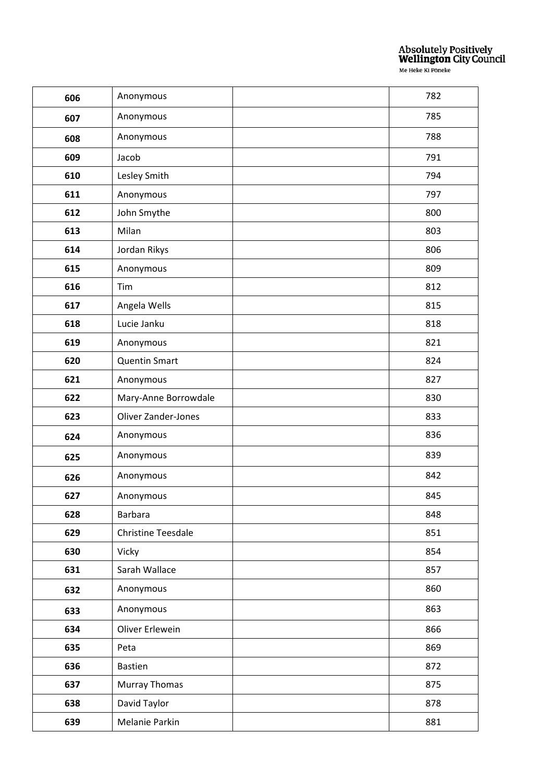| 606 | Anonymous                 | 782 |
|-----|---------------------------|-----|
| 607 | Anonymous                 | 785 |
| 608 | Anonymous                 | 788 |
| 609 | Jacob                     | 791 |
| 610 | Lesley Smith              | 794 |
| 611 | Anonymous                 | 797 |
| 612 | John Smythe               | 800 |
| 613 | Milan                     | 803 |
| 614 | Jordan Rikys              | 806 |
| 615 | Anonymous                 | 809 |
| 616 | Tim                       | 812 |
| 617 | Angela Wells              | 815 |
| 618 | Lucie Janku               | 818 |
| 619 | Anonymous                 | 821 |
| 620 | <b>Quentin Smart</b>      | 824 |
| 621 | Anonymous                 | 827 |
| 622 | Mary-Anne Borrowdale      | 830 |
| 623 | Oliver Zander-Jones       | 833 |
| 624 | Anonymous                 | 836 |
| 625 | Anonymous                 | 839 |
| 626 | Anonymous                 | 842 |
| 627 | Anonymous                 | 845 |
| 628 | <b>Barbara</b>            | 848 |
| 629 | <b>Christine Teesdale</b> | 851 |
| 630 | Vicky                     | 854 |
| 631 | Sarah Wallace             | 857 |
| 632 | Anonymous                 | 860 |
| 633 | Anonymous                 | 863 |
| 634 | Oliver Erlewein           | 866 |
| 635 | Peta                      | 869 |
| 636 | <b>Bastien</b>            | 872 |
| 637 | <b>Murray Thomas</b>      | 875 |
| 638 | David Taylor              | 878 |
| 639 | Melanie Parkin            | 881 |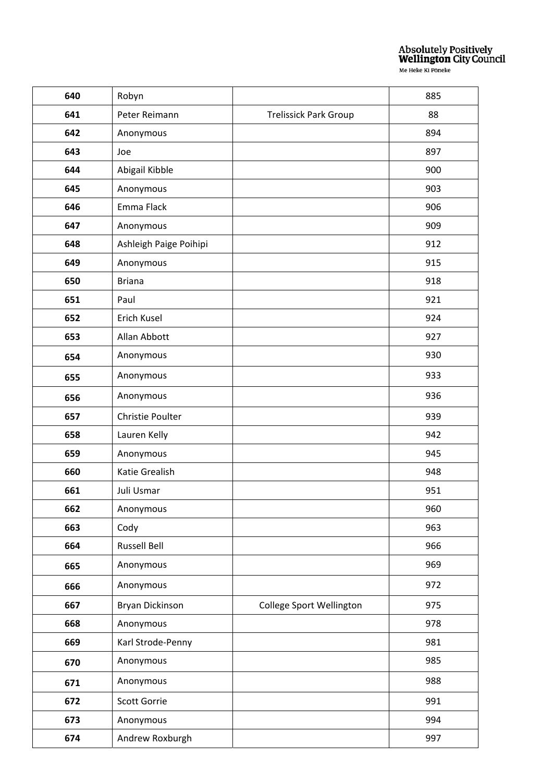| 640 | Robyn                   |                              | 885 |
|-----|-------------------------|------------------------------|-----|
| 641 | Peter Reimann           | <b>Trelissick Park Group</b> | 88  |
| 642 | Anonymous               |                              | 894 |
| 643 | Joe                     |                              | 897 |
| 644 | Abigail Kibble          |                              | 900 |
| 645 | Anonymous               |                              | 903 |
| 646 | Emma Flack              |                              | 906 |
| 647 | Anonymous               |                              | 909 |
| 648 | Ashleigh Paige Poihipi  |                              | 912 |
| 649 | Anonymous               |                              | 915 |
| 650 | <b>Briana</b>           |                              | 918 |
| 651 | Paul                    |                              | 921 |
| 652 | Erich Kusel             |                              | 924 |
| 653 | Allan Abbott            |                              | 927 |
| 654 | Anonymous               |                              | 930 |
| 655 | Anonymous               |                              | 933 |
| 656 | Anonymous               |                              | 936 |
| 657 | <b>Christie Poulter</b> |                              | 939 |
| 658 | Lauren Kelly            |                              | 942 |
| 659 | Anonymous               |                              | 945 |
| 660 | Katie Grealish          |                              | 948 |
| 661 | Juli Usmar              |                              | 951 |
| 662 | Anonymous               |                              | 960 |
| 663 | Cody                    |                              | 963 |
| 664 | Russell Bell            |                              | 966 |
| 665 | Anonymous               |                              | 969 |
| 666 | Anonymous               |                              | 972 |
| 667 | Bryan Dickinson         | College Sport Wellington     | 975 |
| 668 | Anonymous               |                              | 978 |
| 669 | Karl Strode-Penny       |                              | 981 |
| 670 | Anonymous               |                              | 985 |
| 671 | Anonymous               |                              | 988 |
| 672 | Scott Gorrie            |                              | 991 |
| 673 | Anonymous               |                              | 994 |
| 674 | Andrew Roxburgh         |                              | 997 |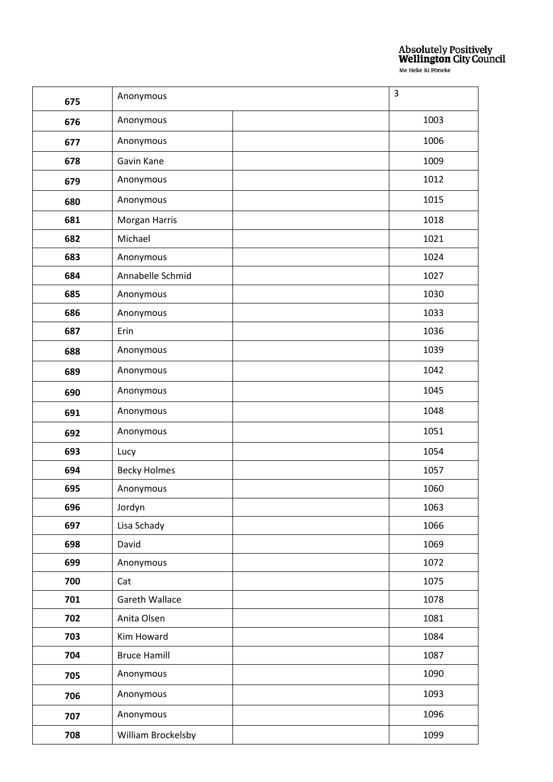| 675 | Anonymous           | $\overline{3}$ |
|-----|---------------------|----------------|
| 676 | Anonymous           | 1003           |
| 677 | Anonymous           | 1006           |
| 678 | Gavin Kane          | 1009           |
| 679 | Anonymous           | 1012           |
| 680 | Anonymous           | 1015           |
| 681 | Morgan Harris       | 1018           |
| 682 | Michael             | 1021           |
| 683 | Anonymous           | 1024           |
| 684 | Annabelle Schmid    | 1027           |
| 685 | Anonymous           | 1030           |
| 686 | Anonymous           | 1033           |
| 687 | Erin                | 1036           |
| 688 | Anonymous           | 1039           |
| 689 | Anonymous           | 1042           |
| 690 | Anonymous           | 1045           |
| 691 | Anonymous           | 1048           |
| 692 | Anonymous           | 1051           |
| 693 | Lucy                | 1054           |
| 694 | <b>Becky Holmes</b> | 1057           |
| 695 | Anonymous           | 1060           |
| 696 | Jordyn              | 1063           |
| 697 | Lisa Schady         | 1066           |
| 698 | David               | 1069           |
| 699 | Anonymous           | 1072           |
| 700 | Cat                 | 1075           |
| 701 | Gareth Wallace      | 1078           |
| 702 | Anita Olsen         | 1081           |
| 703 | Kim Howard          | 1084           |
| 704 | <b>Bruce Hamill</b> | 1087           |
| 705 | Anonymous           | 1090           |
| 706 | Anonymous           | 1093           |
| 707 | Anonymous           | 1096           |
| 708 | William Brockelsby  | 1099           |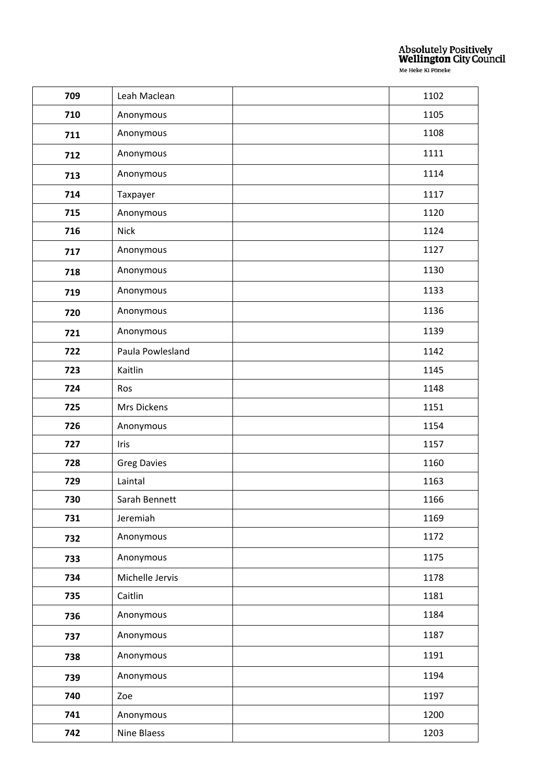| 709 | Leah Maclean       | 1102 |
|-----|--------------------|------|
| 710 | Anonymous          | 1105 |
| 711 | Anonymous          | 1108 |
| 712 | Anonymous          | 1111 |
| 713 | Anonymous          | 1114 |
| 714 | Taxpayer           | 1117 |
| 715 | Anonymous          | 1120 |
| 716 | <b>Nick</b>        | 1124 |
| 717 | Anonymous          | 1127 |
| 718 | Anonymous          | 1130 |
| 719 | Anonymous          | 1133 |
| 720 | Anonymous          | 1136 |
| 721 | Anonymous          | 1139 |
| 722 | Paula Powlesland   | 1142 |
| 723 | Kaitlin            | 1145 |
| 724 | Ros                | 1148 |
| 725 | Mrs Dickens        | 1151 |
| 726 | Anonymous          | 1154 |
| 727 | Iris               | 1157 |
| 728 | <b>Greg Davies</b> | 1160 |
| 729 | Laintal            | 1163 |
| 730 | Sarah Bennett      | 1166 |
| 731 | Jeremiah           | 1169 |
| 732 | Anonymous          | 1172 |
| 733 | Anonymous          | 1175 |
| 734 | Michelle Jervis    | 1178 |
| 735 | Caitlin            | 1181 |
| 736 | Anonymous          | 1184 |
| 737 | Anonymous          | 1187 |
| 738 | Anonymous          | 1191 |
| 739 | Anonymous          | 1194 |
| 740 | Zoe                | 1197 |
| 741 | Anonymous          | 1200 |
| 742 | Nine Blaess        | 1203 |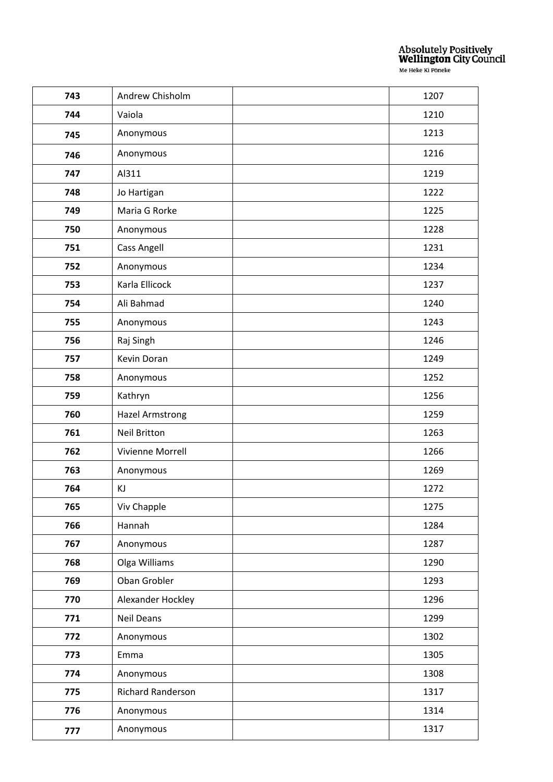| 743 | Andrew Chisholm          | 1207 |
|-----|--------------------------|------|
| 744 | Vaiola                   | 1210 |
| 745 | Anonymous                | 1213 |
| 746 | Anonymous                | 1216 |
| 747 | Al311                    | 1219 |
| 748 | Jo Hartigan              | 1222 |
| 749 | Maria G Rorke            | 1225 |
| 750 | Anonymous                | 1228 |
| 751 | Cass Angell              | 1231 |
| 752 | Anonymous                | 1234 |
| 753 | Karla Ellicock           | 1237 |
| 754 | Ali Bahmad               | 1240 |
| 755 | Anonymous                | 1243 |
| 756 | Raj Singh                | 1246 |
| 757 | Kevin Doran              | 1249 |
| 758 | Anonymous                | 1252 |
| 759 | Kathryn                  | 1256 |
| 760 | <b>Hazel Armstrong</b>   | 1259 |
| 761 | <b>Neil Britton</b>      | 1263 |
| 762 | Vivienne Morrell         | 1266 |
| 763 | Anonymous                | 1269 |
| 764 | ΚJ                       | 1272 |
| 765 | Viv Chapple              | 1275 |
| 766 | Hannah                   | 1284 |
| 767 | Anonymous                | 1287 |
| 768 | Olga Williams            | 1290 |
| 769 | Oban Grobler             | 1293 |
| 770 | Alexander Hockley        | 1296 |
| 771 | Neil Deans               | 1299 |
| 772 | Anonymous                | 1302 |
| 773 | Emma                     | 1305 |
| 774 | Anonymous                | 1308 |
| 775 | <b>Richard Randerson</b> | 1317 |
| 776 | Anonymous                | 1314 |
| 777 | Anonymous                | 1317 |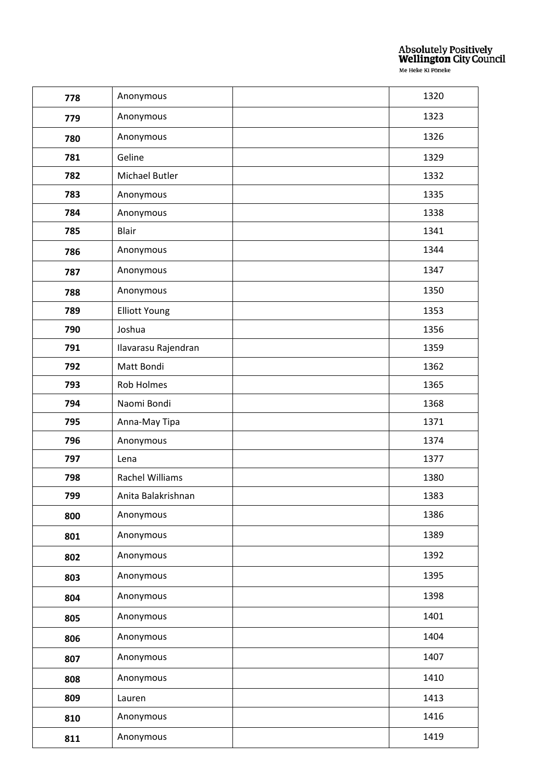| 778 | Anonymous            | 1320 |
|-----|----------------------|------|
| 779 | Anonymous            | 1323 |
| 780 | Anonymous            | 1326 |
| 781 | Geline               | 1329 |
| 782 | Michael Butler       | 1332 |
| 783 | Anonymous            | 1335 |
| 784 | Anonymous            | 1338 |
| 785 | Blair                | 1341 |
| 786 | Anonymous            | 1344 |
| 787 | Anonymous            | 1347 |
| 788 | Anonymous            | 1350 |
| 789 | <b>Elliott Young</b> | 1353 |
| 790 | Joshua               | 1356 |
| 791 | Ilavarasu Rajendran  | 1359 |
| 792 | Matt Bondi           | 1362 |
| 793 | Rob Holmes           | 1365 |
| 794 | Naomi Bondi          | 1368 |
| 795 | Anna-May Tipa        | 1371 |
| 796 | Anonymous            | 1374 |
| 797 | Lena                 | 1377 |
| 798 | Rachel Williams      | 1380 |
| 799 | Anita Balakrishnan   | 1383 |
| 800 | Anonymous            | 1386 |
| 801 | Anonymous            | 1389 |
| 802 | Anonymous            | 1392 |
| 803 | Anonymous            | 1395 |
| 804 | Anonymous            | 1398 |
| 805 | Anonymous            | 1401 |
| 806 | Anonymous            | 1404 |
| 807 | Anonymous            | 1407 |
| 808 | Anonymous            | 1410 |
| 809 | Lauren               | 1413 |
| 810 | Anonymous            | 1416 |
| 811 | Anonymous            | 1419 |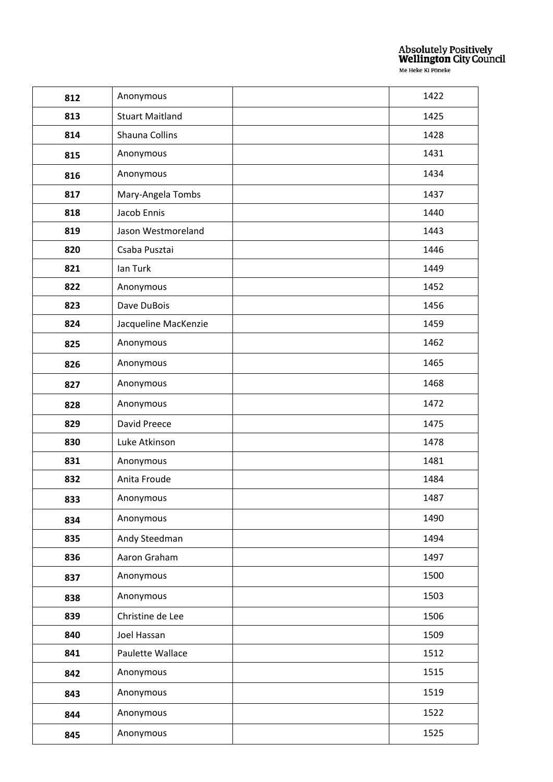| 812 | Anonymous              | 1422 |
|-----|------------------------|------|
| 813 | <b>Stuart Maitland</b> | 1425 |
| 814 | Shauna Collins         | 1428 |
| 815 | Anonymous              | 1431 |
| 816 | Anonymous              | 1434 |
| 817 | Mary-Angela Tombs      | 1437 |
| 818 | Jacob Ennis            | 1440 |
| 819 | Jason Westmoreland     | 1443 |
| 820 | Csaba Pusztai          | 1446 |
| 821 | Ian Turk               | 1449 |
| 822 | Anonymous              | 1452 |
| 823 | Dave DuBois            | 1456 |
| 824 | Jacqueline MacKenzie   | 1459 |
| 825 | Anonymous              | 1462 |
| 826 | Anonymous              | 1465 |
| 827 | Anonymous              | 1468 |
| 828 | Anonymous              | 1472 |
| 829 | David Preece           | 1475 |
| 830 | Luke Atkinson          | 1478 |
| 831 | Anonymous              | 1481 |
| 832 | Anita Froude           | 1484 |
| 833 | Anonymous              | 1487 |
| 834 | Anonymous              | 1490 |
| 835 | Andy Steedman          | 1494 |
| 836 | Aaron Graham           | 1497 |
| 837 | Anonymous              | 1500 |
| 838 | Anonymous              | 1503 |
| 839 | Christine de Lee       | 1506 |
| 840 | Joel Hassan            | 1509 |
| 841 | Paulette Wallace       | 1512 |
| 842 | Anonymous              | 1515 |
| 843 | Anonymous              | 1519 |
| 844 | Anonymous              | 1522 |
| 845 | Anonymous              | 1525 |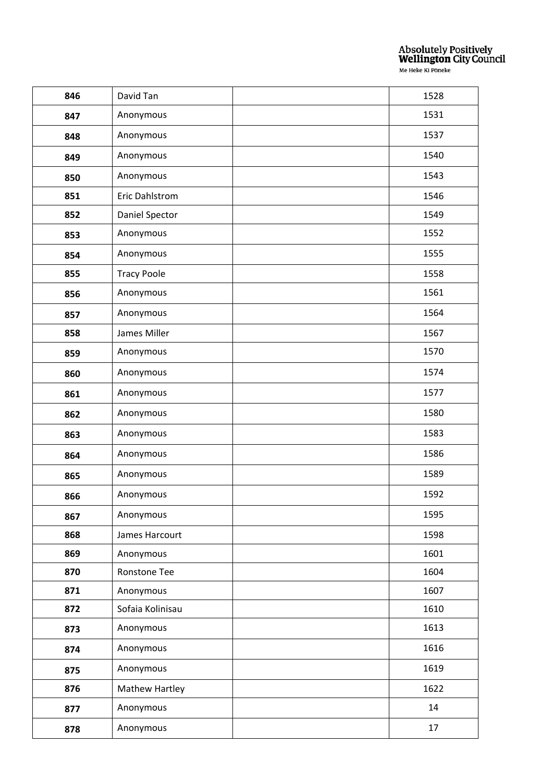| 846 | David Tan             | 1528 |
|-----|-----------------------|------|
| 847 | Anonymous             | 1531 |
| 848 | Anonymous             | 1537 |
| 849 | Anonymous             | 1540 |
| 850 | Anonymous             | 1543 |
| 851 | Eric Dahlstrom        | 1546 |
| 852 | Daniel Spector        | 1549 |
| 853 | Anonymous             | 1552 |
| 854 | Anonymous             | 1555 |
| 855 | <b>Tracy Poole</b>    | 1558 |
| 856 | Anonymous             | 1561 |
| 857 | Anonymous             | 1564 |
| 858 | James Miller          | 1567 |
| 859 | Anonymous             | 1570 |
| 860 | Anonymous             | 1574 |
| 861 | Anonymous             | 1577 |
| 862 | Anonymous             | 1580 |
| 863 | Anonymous             | 1583 |
| 864 | Anonymous             | 1586 |
| 865 | Anonymous             | 1589 |
| 866 | Anonymous             | 1592 |
| 867 | Anonymous             | 1595 |
| 868 | James Harcourt        | 1598 |
| 869 | Anonymous             | 1601 |
| 870 | Ronstone Tee          | 1604 |
| 871 | Anonymous             | 1607 |
| 872 | Sofaia Kolinisau      | 1610 |
| 873 | Anonymous             | 1613 |
| 874 | Anonymous             | 1616 |
| 875 | Anonymous             | 1619 |
| 876 | <b>Mathew Hartley</b> | 1622 |
| 877 | Anonymous             | 14   |
| 878 | Anonymous             | 17   |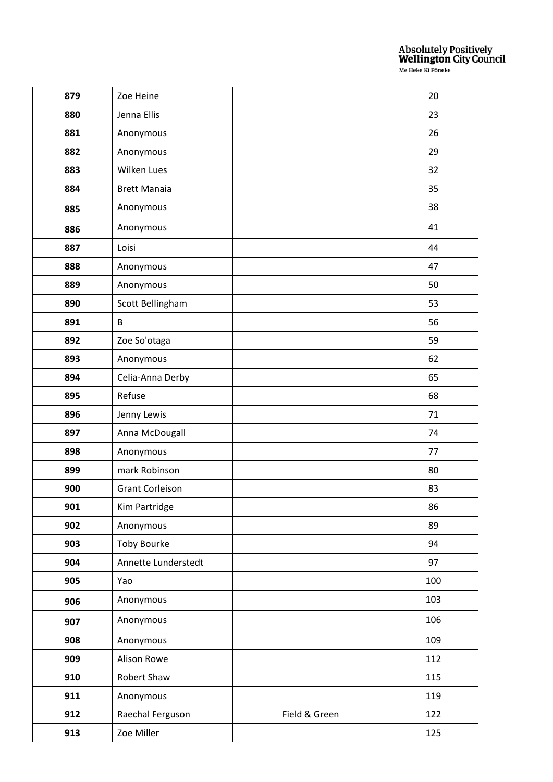| 879 | Zoe Heine              |               | 20  |
|-----|------------------------|---------------|-----|
| 880 | Jenna Ellis            |               | 23  |
| 881 | Anonymous              |               | 26  |
| 882 | Anonymous              |               | 29  |
| 883 | Wilken Lues            |               | 32  |
| 884 | <b>Brett Manaia</b>    |               | 35  |
| 885 | Anonymous              |               | 38  |
| 886 | Anonymous              |               | 41  |
| 887 | Loisi                  |               | 44  |
| 888 | Anonymous              |               | 47  |
| 889 | Anonymous              |               | 50  |
| 890 | Scott Bellingham       |               | 53  |
| 891 | B                      |               | 56  |
| 892 | Zoe So'otaga           |               | 59  |
| 893 | Anonymous              |               | 62  |
| 894 | Celia-Anna Derby       |               | 65  |
| 895 | Refuse                 |               | 68  |
| 896 | Jenny Lewis            |               | 71  |
| 897 | Anna McDougall         |               | 74  |
| 898 | Anonymous              |               | 77  |
| 899 | mark Robinson          |               | 80  |
| 900 | <b>Grant Corleison</b> |               | 83  |
| 901 | Kim Partridge          |               | 86  |
| 902 | Anonymous              |               | 89  |
| 903 | <b>Toby Bourke</b>     |               | 94  |
| 904 | Annette Lunderstedt    |               | 97  |
| 905 | Yao                    |               | 100 |
| 906 | Anonymous              |               | 103 |
| 907 | Anonymous              |               | 106 |
| 908 | Anonymous              |               | 109 |
| 909 | Alison Rowe            |               | 112 |
| 910 | Robert Shaw            |               | 115 |
| 911 | Anonymous              |               | 119 |
| 912 | Raechal Ferguson       | Field & Green | 122 |
| 913 | Zoe Miller             |               | 125 |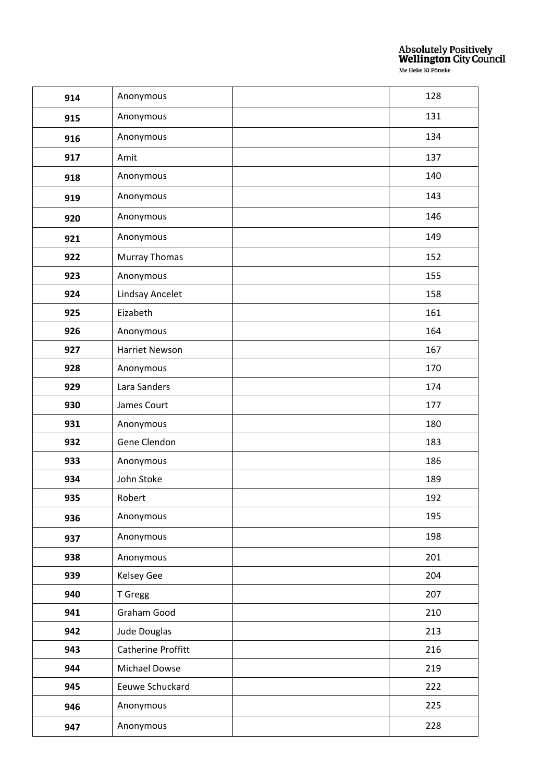| 914 | Anonymous            | 128 |
|-----|----------------------|-----|
| 915 | Anonymous            | 131 |
| 916 | Anonymous            | 134 |
| 917 | Amit                 | 137 |
| 918 | Anonymous            | 140 |
| 919 | Anonymous            | 143 |
| 920 | Anonymous            | 146 |
| 921 | Anonymous            | 149 |
| 922 | <b>Murray Thomas</b> | 152 |
| 923 | Anonymous            | 155 |
| 924 | Lindsay Ancelet      | 158 |
| 925 | Eizabeth             | 161 |
| 926 | Anonymous            | 164 |
| 927 | Harriet Newson       | 167 |
| 928 | Anonymous            | 170 |
| 929 | Lara Sanders         | 174 |
| 930 | James Court          | 177 |
| 931 | Anonymous            | 180 |
| 932 | Gene Clendon         | 183 |
| 933 | Anonymous            | 186 |
| 934 | John Stoke           | 189 |
| 935 | Robert               | 192 |
| 936 | Anonymous            | 195 |
| 937 | Anonymous            | 198 |
| 938 | Anonymous            | 201 |
| 939 | <b>Kelsey Gee</b>    | 204 |
| 940 | T Gregg              | 207 |
| 941 | Graham Good          | 210 |
| 942 | Jude Douglas         | 213 |
| 943 | Catherine Proffitt   | 216 |
| 944 | Michael Dowse        | 219 |
| 945 | Eeuwe Schuckard      | 222 |
| 946 | Anonymous            | 225 |
| 947 | Anonymous            | 228 |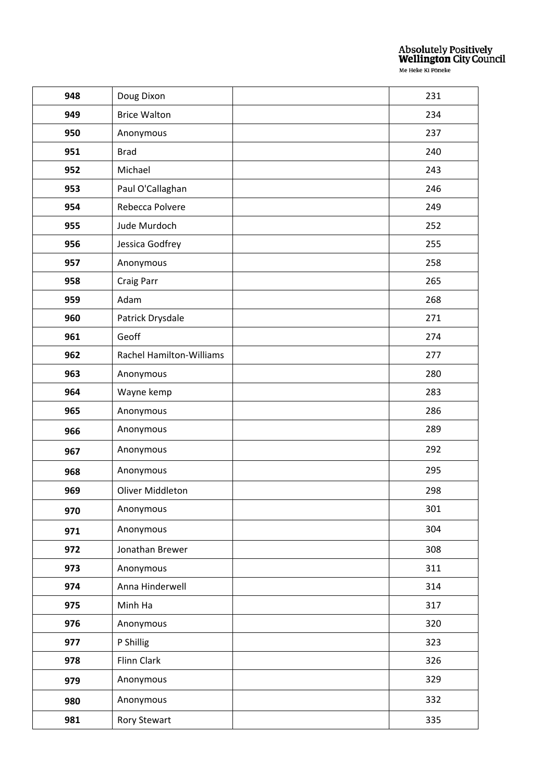| 948 | Doug Dixon                      | 231 |
|-----|---------------------------------|-----|
| 949 | <b>Brice Walton</b>             | 234 |
| 950 | Anonymous                       | 237 |
| 951 | <b>Brad</b>                     | 240 |
| 952 | Michael                         | 243 |
| 953 | Paul O'Callaghan                | 246 |
| 954 | Rebecca Polvere                 | 249 |
| 955 | Jude Murdoch                    | 252 |
| 956 | Jessica Godfrey                 | 255 |
| 957 | Anonymous                       | 258 |
| 958 | Craig Parr                      | 265 |
| 959 | Adam                            | 268 |
| 960 | Patrick Drysdale                | 271 |
| 961 | Geoff                           | 274 |
| 962 | <b>Rachel Hamilton-Williams</b> | 277 |
| 963 | Anonymous                       | 280 |
| 964 | Wayne kemp                      | 283 |
| 965 | Anonymous                       | 286 |
| 966 | Anonymous                       | 289 |
| 967 | Anonymous                       | 292 |
| 968 | Anonymous                       | 295 |
| 969 | Oliver Middleton                | 298 |
| 970 | Anonymous                       | 301 |
| 971 | Anonymous                       | 304 |
| 972 | Jonathan Brewer                 | 308 |
| 973 | Anonymous                       | 311 |
| 974 | Anna Hinderwell                 | 314 |
| 975 | Minh Ha                         | 317 |
| 976 | Anonymous                       | 320 |
| 977 | P Shillig                       | 323 |
| 978 | Flinn Clark                     | 326 |
| 979 | Anonymous                       | 329 |
| 980 | Anonymous                       | 332 |
| 981 | Rory Stewart                    | 335 |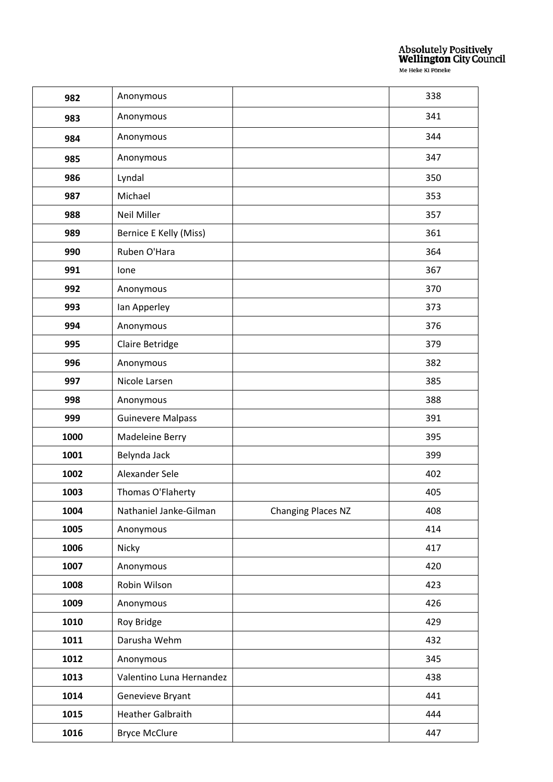| 982  | Anonymous                |                    | 338 |
|------|--------------------------|--------------------|-----|
| 983  | Anonymous                |                    | 341 |
| 984  | Anonymous                |                    | 344 |
| 985  | Anonymous                |                    | 347 |
| 986  | Lyndal                   |                    | 350 |
| 987  | Michael                  |                    | 353 |
| 988  | <b>Neil Miller</b>       |                    | 357 |
| 989  | Bernice E Kelly (Miss)   |                    | 361 |
| 990  | Ruben O'Hara             |                    | 364 |
| 991  | Ione                     |                    | 367 |
| 992  | Anonymous                |                    | 370 |
| 993  | Ian Apperley             |                    | 373 |
| 994  | Anonymous                |                    | 376 |
| 995  | Claire Betridge          |                    | 379 |
| 996  | Anonymous                |                    | 382 |
| 997  | Nicole Larsen            |                    | 385 |
| 998  | Anonymous                |                    | 388 |
| 999  | <b>Guinevere Malpass</b> |                    | 391 |
| 1000 | Madeleine Berry          |                    | 395 |
| 1001 | Belynda Jack             |                    | 399 |
| 1002 | Alexander Sele           |                    | 402 |
| 1003 | Thomas O'Flaherty        |                    | 405 |
| 1004 | Nathaniel Janke-Gilman   | Changing Places NZ | 408 |
| 1005 | Anonymous                |                    | 414 |
| 1006 | Nicky                    |                    | 417 |
| 1007 | Anonymous                |                    | 420 |
| 1008 | Robin Wilson             |                    | 423 |
| 1009 | Anonymous                |                    | 426 |
| 1010 | Roy Bridge               |                    | 429 |
| 1011 | Darusha Wehm             |                    | 432 |
| 1012 | Anonymous                |                    | 345 |
| 1013 | Valentino Luna Hernandez |                    | 438 |
| 1014 | Genevieve Bryant         |                    | 441 |
| 1015 | <b>Heather Galbraith</b> |                    | 444 |
| 1016 | <b>Bryce McClure</b>     |                    | 447 |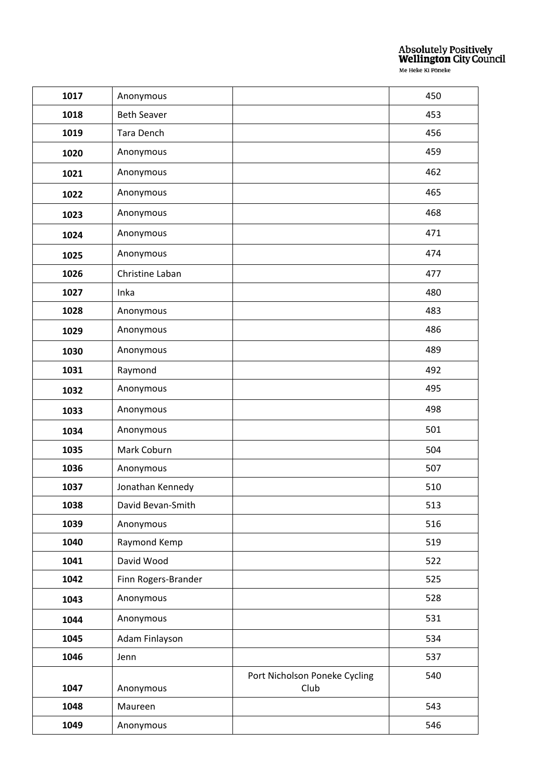| 1017 | Anonymous           |                               | 450 |
|------|---------------------|-------------------------------|-----|
| 1018 | <b>Beth Seaver</b>  |                               | 453 |
| 1019 | Tara Dench          |                               | 456 |
| 1020 | Anonymous           |                               | 459 |
| 1021 | Anonymous           |                               | 462 |
| 1022 | Anonymous           |                               | 465 |
| 1023 | Anonymous           |                               | 468 |
| 1024 | Anonymous           |                               | 471 |
| 1025 | Anonymous           |                               | 474 |
| 1026 | Christine Laban     |                               | 477 |
| 1027 | Inka                |                               | 480 |
| 1028 | Anonymous           |                               | 483 |
| 1029 | Anonymous           |                               | 486 |
| 1030 | Anonymous           |                               | 489 |
| 1031 | Raymond             |                               | 492 |
| 1032 | Anonymous           |                               | 495 |
| 1033 | Anonymous           |                               | 498 |
| 1034 | Anonymous           |                               | 501 |
| 1035 | Mark Coburn         |                               | 504 |
| 1036 | Anonymous           |                               | 507 |
| 1037 | Jonathan Kennedy    |                               | 510 |
| 1038 | David Bevan-Smith   |                               | 513 |
| 1039 | Anonymous           |                               | 516 |
| 1040 | Raymond Kemp        |                               | 519 |
| 1041 | David Wood          |                               | 522 |
| 1042 | Finn Rogers-Brander |                               | 525 |
| 1043 | Anonymous           |                               | 528 |
| 1044 | Anonymous           |                               | 531 |
| 1045 | Adam Finlayson      |                               | 534 |
| 1046 | Jenn                |                               | 537 |
|      |                     | Port Nicholson Poneke Cycling | 540 |
| 1047 | Anonymous           | Club                          |     |
| 1048 | Maureen             |                               | 543 |
| 1049 | Anonymous           |                               | 546 |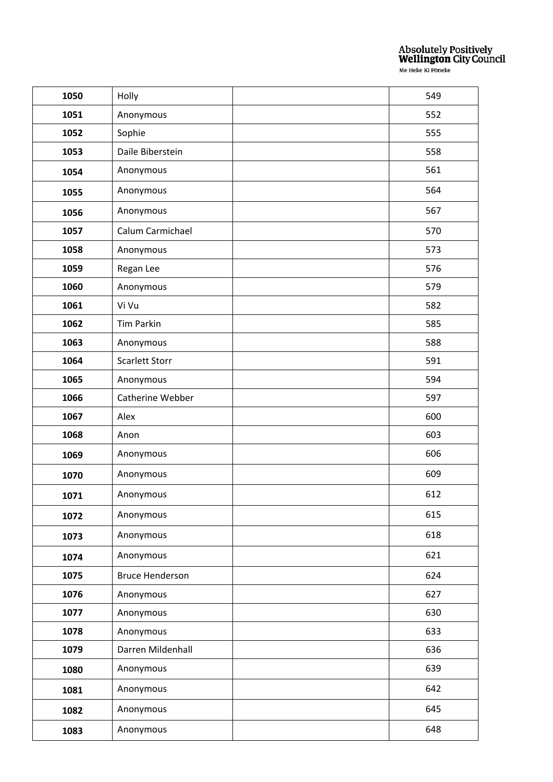| 1050 | Holly                  | 549 |
|------|------------------------|-----|
| 1051 | Anonymous              | 552 |
| 1052 | Sophie                 | 555 |
| 1053 | Daile Biberstein       | 558 |
| 1054 | Anonymous              | 561 |
| 1055 | Anonymous              | 564 |
| 1056 | Anonymous              | 567 |
| 1057 | Calum Carmichael       | 570 |
| 1058 | Anonymous              | 573 |
| 1059 | Regan Lee              | 576 |
| 1060 | Anonymous              | 579 |
| 1061 | Vi Vu                  | 582 |
| 1062 | <b>Tim Parkin</b>      | 585 |
| 1063 | Anonymous              | 588 |
| 1064 | <b>Scarlett Storr</b>  | 591 |
| 1065 | Anonymous              | 594 |
| 1066 | Catherine Webber       | 597 |
| 1067 | Alex                   | 600 |
| 1068 | Anon                   | 603 |
| 1069 | Anonymous              | 606 |
| 1070 | Anonymous              | 609 |
| 1071 | Anonymous              | 612 |
| 1072 | Anonymous              | 615 |
| 1073 | Anonymous              | 618 |
| 1074 | Anonymous              | 621 |
| 1075 | <b>Bruce Henderson</b> | 624 |
| 1076 | Anonymous              | 627 |
| 1077 | Anonymous              | 630 |
| 1078 | Anonymous              | 633 |
| 1079 | Darren Mildenhall      | 636 |
| 1080 | Anonymous              | 639 |
| 1081 | Anonymous              | 642 |
| 1082 | Anonymous              | 645 |
| 1083 | Anonymous              | 648 |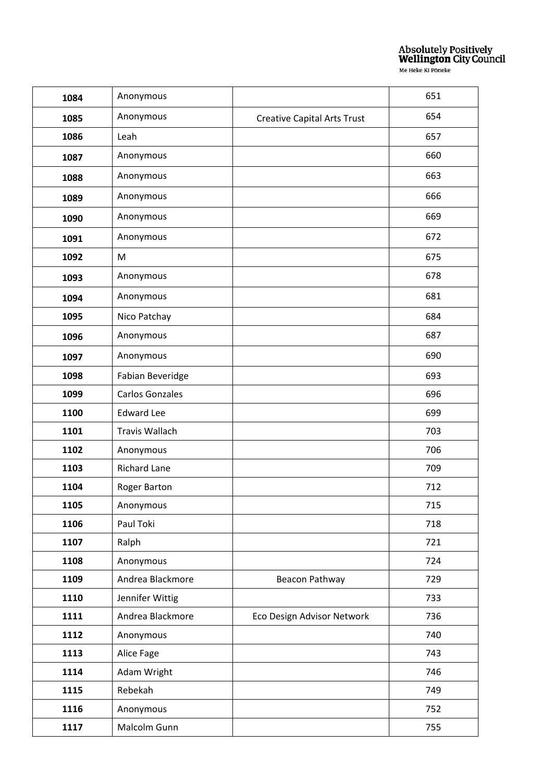| 1084 | Anonymous              |                                    | 651 |
|------|------------------------|------------------------------------|-----|
| 1085 | Anonymous              | <b>Creative Capital Arts Trust</b> | 654 |
| 1086 | Leah                   |                                    | 657 |
| 1087 | Anonymous              |                                    | 660 |
| 1088 | Anonymous              |                                    | 663 |
| 1089 | Anonymous              |                                    | 666 |
| 1090 | Anonymous              |                                    | 669 |
| 1091 | Anonymous              |                                    | 672 |
| 1092 | M                      |                                    | 675 |
| 1093 | Anonymous              |                                    | 678 |
| 1094 | Anonymous              |                                    | 681 |
| 1095 | Nico Patchay           |                                    | 684 |
| 1096 | Anonymous              |                                    | 687 |
| 1097 | Anonymous              |                                    | 690 |
| 1098 | Fabian Beveridge       |                                    | 693 |
| 1099 | <b>Carlos Gonzales</b> |                                    | 696 |
| 1100 | <b>Edward Lee</b>      |                                    | 699 |
| 1101 | Travis Wallach         |                                    | 703 |
| 1102 | Anonymous              |                                    | 706 |
| 1103 | <b>Richard Lane</b>    |                                    | 709 |
| 1104 | Roger Barton           |                                    | 712 |
| 1105 | Anonymous              |                                    | 715 |
| 1106 | Paul Toki              |                                    | 718 |
| 1107 | Ralph                  |                                    | 721 |
| 1108 | Anonymous              |                                    | 724 |
| 1109 | Andrea Blackmore       | Beacon Pathway                     | 729 |
| 1110 | Jennifer Wittig        |                                    | 733 |
| 1111 | Andrea Blackmore       | Eco Design Advisor Network         | 736 |
| 1112 | Anonymous              |                                    | 740 |
| 1113 | Alice Fage             |                                    | 743 |
| 1114 | Adam Wright            |                                    | 746 |
| 1115 | Rebekah                |                                    | 749 |
| 1116 | Anonymous              |                                    | 752 |
| 1117 | Malcolm Gunn           |                                    | 755 |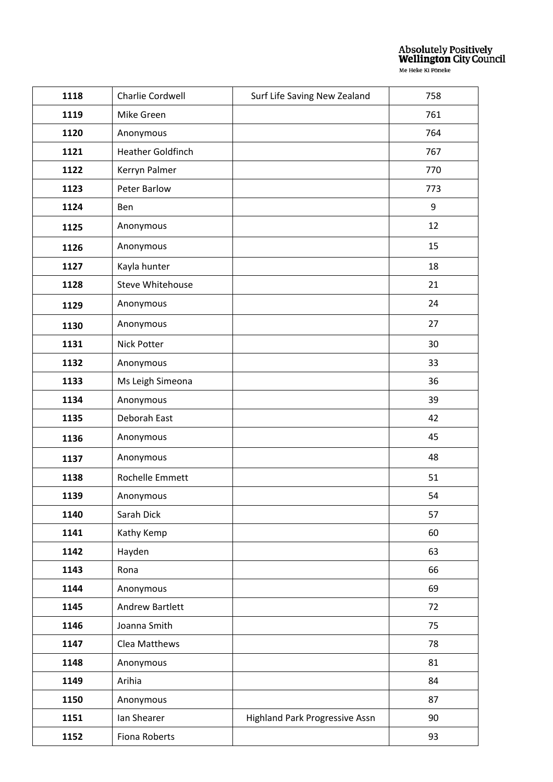| 1118 | Charlie Cordwell         | Surf Life Saving New Zealand   | 758 |
|------|--------------------------|--------------------------------|-----|
| 1119 | Mike Green               |                                | 761 |
|      |                          |                                |     |
| 1120 | Anonymous                |                                | 764 |
| 1121 | <b>Heather Goldfinch</b> |                                | 767 |
| 1122 | Kerryn Palmer            |                                | 770 |
| 1123 | <b>Peter Barlow</b>      |                                | 773 |
| 1124 | Ben                      |                                | 9   |
| 1125 | Anonymous                |                                | 12  |
| 1126 | Anonymous                |                                | 15  |
| 1127 | Kayla hunter             |                                | 18  |
| 1128 | <b>Steve Whitehouse</b>  |                                | 21  |
| 1129 | Anonymous                |                                | 24  |
| 1130 | Anonymous                |                                | 27  |
| 1131 | Nick Potter              |                                | 30  |
| 1132 | Anonymous                |                                | 33  |
| 1133 | Ms Leigh Simeona         |                                | 36  |
| 1134 | Anonymous                |                                | 39  |
| 1135 | Deborah East             |                                | 42  |
| 1136 | Anonymous                |                                | 45  |
| 1137 | Anonymous                |                                | 48  |
| 1138 | Rochelle Emmett          |                                | 51  |
| 1139 | Anonymous                |                                | 54  |
| 1140 | Sarah Dick               |                                | 57  |
| 1141 | Kathy Kemp               |                                | 60  |
| 1142 | Hayden                   |                                | 63  |
| 1143 | Rona                     |                                | 66  |
| 1144 | Anonymous                |                                | 69  |
| 1145 | <b>Andrew Bartlett</b>   |                                | 72  |
| 1146 | Joanna Smith             |                                | 75  |
| 1147 | Clea Matthews            |                                | 78  |
| 1148 | Anonymous                |                                | 81  |
| 1149 | Arihia                   |                                | 84  |
| 1150 | Anonymous                |                                | 87  |
| 1151 | Ian Shearer              | Highland Park Progressive Assn | 90  |
| 1152 | Fiona Roberts            |                                | 93  |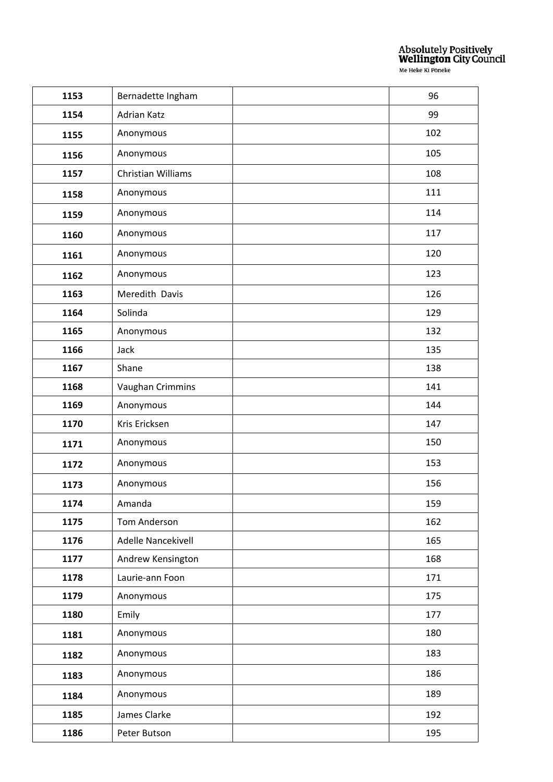| 1153 | Bernadette Ingham  | 96  |
|------|--------------------|-----|
| 1154 | Adrian Katz        | 99  |
| 1155 | Anonymous          | 102 |
| 1156 | Anonymous          | 105 |
| 1157 | Christian Williams | 108 |
| 1158 | Anonymous          | 111 |
| 1159 | Anonymous          | 114 |
| 1160 | Anonymous          | 117 |
| 1161 | Anonymous          | 120 |
| 1162 | Anonymous          | 123 |
| 1163 | Meredith Davis     | 126 |
| 1164 | Solinda            | 129 |
| 1165 | Anonymous          | 132 |
| 1166 | Jack               | 135 |
| 1167 | Shane              | 138 |
| 1168 | Vaughan Crimmins   | 141 |
| 1169 | Anonymous          | 144 |
| 1170 | Kris Ericksen      | 147 |
| 1171 | Anonymous          | 150 |
| 1172 | Anonymous          | 153 |
| 1173 | Anonymous          | 156 |
| 1174 | Amanda             | 159 |
| 1175 | Tom Anderson       | 162 |
| 1176 | Adelle Nancekivell | 165 |
| 1177 | Andrew Kensington  | 168 |
| 1178 | Laurie-ann Foon    | 171 |
| 1179 | Anonymous          | 175 |
| 1180 | Emily              | 177 |
| 1181 | Anonymous          | 180 |
| 1182 | Anonymous          | 183 |
| 1183 | Anonymous          | 186 |
| 1184 | Anonymous          | 189 |
| 1185 | James Clarke       | 192 |
| 1186 | Peter Butson       | 195 |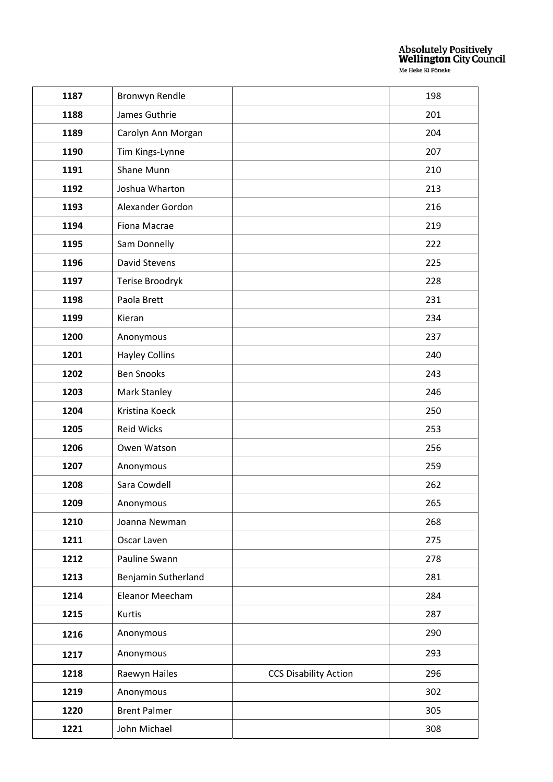| 1187 | Bronwyn Rendle        |                              | 198 |
|------|-----------------------|------------------------------|-----|
| 1188 | James Guthrie         |                              | 201 |
| 1189 | Carolyn Ann Morgan    |                              | 204 |
| 1190 | Tim Kings-Lynne       |                              | 207 |
| 1191 | Shane Munn            |                              | 210 |
| 1192 | Joshua Wharton        |                              | 213 |
| 1193 | Alexander Gordon      |                              | 216 |
| 1194 | Fiona Macrae          |                              | 219 |
| 1195 | Sam Donnelly          |                              | 222 |
| 1196 | David Stevens         |                              | 225 |
| 1197 | Terise Broodryk       |                              | 228 |
| 1198 | Paola Brett           |                              | 231 |
| 1199 | Kieran                |                              | 234 |
| 1200 | Anonymous             |                              | 237 |
| 1201 | <b>Hayley Collins</b> |                              | 240 |
| 1202 | <b>Ben Snooks</b>     |                              | 243 |
| 1203 | Mark Stanley          |                              | 246 |
| 1204 | Kristina Koeck        |                              | 250 |
| 1205 | <b>Reid Wicks</b>     |                              | 253 |
| 1206 | Owen Watson           |                              | 256 |
| 1207 | Anonymous             |                              | 259 |
| 1208 | Sara Cowdell          |                              | 262 |
| 1209 | Anonymous             |                              | 265 |
| 1210 | Joanna Newman         |                              | 268 |
| 1211 | Oscar Laven           |                              | 275 |
| 1212 | Pauline Swann         |                              | 278 |
| 1213 | Benjamin Sutherland   |                              | 281 |
| 1214 | Eleanor Meecham       |                              | 284 |
| 1215 | Kurtis                |                              | 287 |
| 1216 | Anonymous             |                              | 290 |
| 1217 | Anonymous             |                              | 293 |
| 1218 | Raewyn Hailes         | <b>CCS Disability Action</b> | 296 |
| 1219 | Anonymous             |                              | 302 |
| 1220 | <b>Brent Palmer</b>   |                              | 305 |
| 1221 | John Michael          |                              | 308 |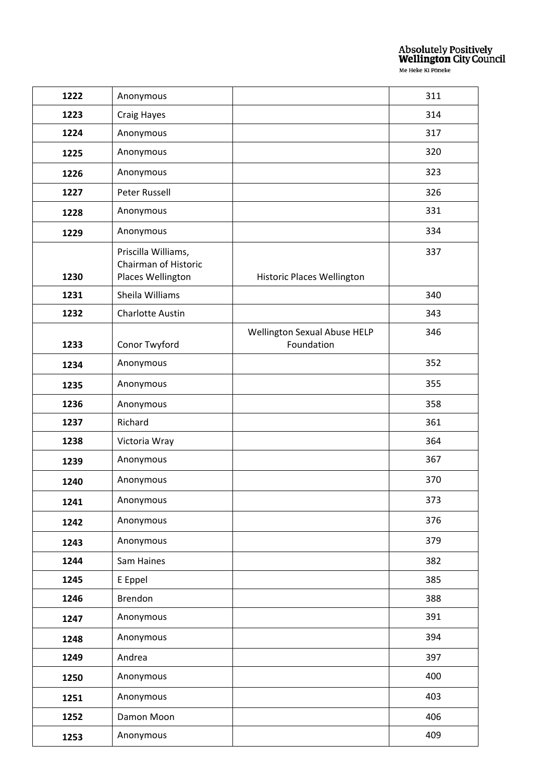| 1222 | Anonymous                                                        |                                            | 311 |
|------|------------------------------------------------------------------|--------------------------------------------|-----|
| 1223 | Craig Hayes                                                      |                                            | 314 |
| 1224 | Anonymous                                                        |                                            | 317 |
| 1225 | Anonymous                                                        |                                            | 320 |
| 1226 | Anonymous                                                        |                                            | 323 |
| 1227 | <b>Peter Russell</b>                                             |                                            | 326 |
| 1228 | Anonymous                                                        |                                            | 331 |
| 1229 | Anonymous                                                        |                                            | 334 |
| 1230 | Priscilla Williams,<br>Chairman of Historic<br>Places Wellington | Historic Places Wellington                 | 337 |
| 1231 | Sheila Williams                                                  |                                            | 340 |
| 1232 | <b>Charlotte Austin</b>                                          |                                            | 343 |
| 1233 | Conor Twyford                                                    | Wellington Sexual Abuse HELP<br>Foundation | 346 |
| 1234 | Anonymous                                                        |                                            | 352 |
| 1235 | Anonymous                                                        |                                            | 355 |
| 1236 | Anonymous                                                        |                                            | 358 |
| 1237 | Richard                                                          |                                            | 361 |
| 1238 | Victoria Wray                                                    |                                            | 364 |
| 1239 | Anonymous                                                        |                                            | 367 |
| 1240 | Anonymous                                                        |                                            | 370 |
| 1241 | Anonymous                                                        |                                            | 373 |
| 1242 | Anonymous                                                        |                                            | 376 |
| 1243 | Anonymous                                                        |                                            | 379 |
| 1244 | Sam Haines                                                       |                                            | 382 |
| 1245 | E Eppel                                                          |                                            | 385 |
| 1246 | Brendon                                                          |                                            | 388 |
| 1247 | Anonymous                                                        |                                            | 391 |
| 1248 | Anonymous                                                        |                                            | 394 |
| 1249 | Andrea                                                           |                                            | 397 |
| 1250 | Anonymous                                                        |                                            | 400 |
| 1251 | Anonymous                                                        |                                            | 403 |
| 1252 | Damon Moon                                                       |                                            | 406 |
| 1253 | Anonymous                                                        |                                            | 409 |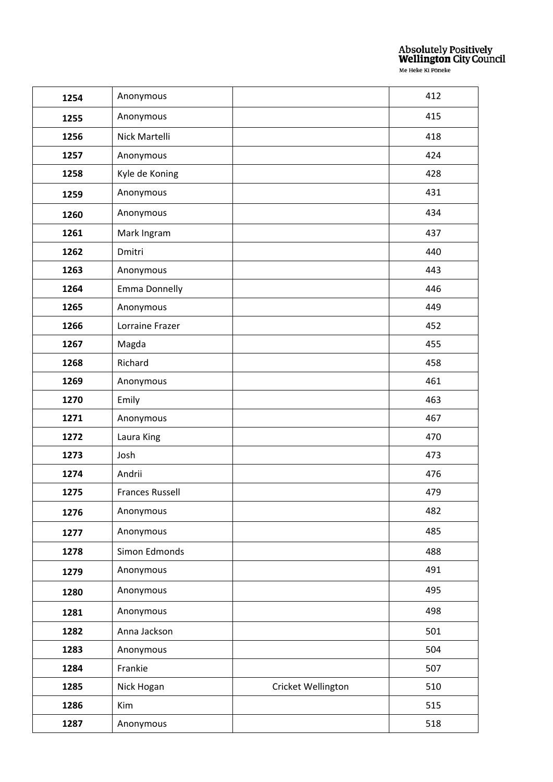| 1254 | Anonymous              |                    | 412 |
|------|------------------------|--------------------|-----|
| 1255 | Anonymous              |                    | 415 |
| 1256 | Nick Martelli          |                    | 418 |
| 1257 | Anonymous              |                    | 424 |
| 1258 | Kyle de Koning         |                    | 428 |
| 1259 | Anonymous              |                    | 431 |
| 1260 | Anonymous              |                    | 434 |
| 1261 | Mark Ingram            |                    | 437 |
| 1262 | Dmitri                 |                    | 440 |
| 1263 | Anonymous              |                    | 443 |
| 1264 | <b>Emma Donnelly</b>   |                    | 446 |
| 1265 | Anonymous              |                    | 449 |
| 1266 | Lorraine Frazer        |                    | 452 |
| 1267 | Magda                  |                    | 455 |
| 1268 | Richard                |                    | 458 |
| 1269 | Anonymous              |                    | 461 |
| 1270 | Emily                  |                    | 463 |
| 1271 | Anonymous              |                    | 467 |
| 1272 | Laura King             |                    | 470 |
| 1273 | Josh                   |                    | 473 |
| 1274 | Andrii                 |                    | 476 |
| 1275 | <b>Frances Russell</b> |                    | 479 |
| 1276 | Anonymous              |                    | 482 |
| 1277 | Anonymous              |                    | 485 |
| 1278 | Simon Edmonds          |                    | 488 |
| 1279 | Anonymous              |                    | 491 |
| 1280 | Anonymous              |                    | 495 |
| 1281 | Anonymous              |                    | 498 |
| 1282 | Anna Jackson           |                    | 501 |
| 1283 | Anonymous              |                    | 504 |
| 1284 | Frankie                |                    | 507 |
| 1285 | Nick Hogan             | Cricket Wellington | 510 |
| 1286 | Kim                    |                    | 515 |
| 1287 | Anonymous              |                    | 518 |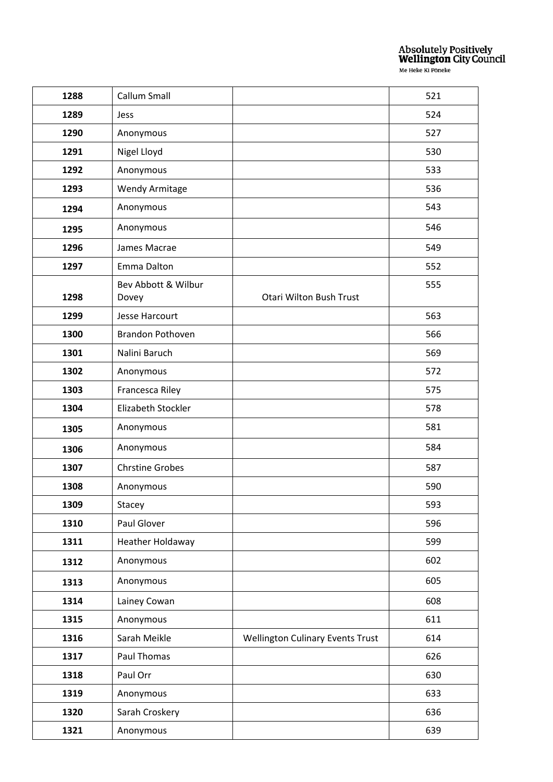| 1288 | Callum Small                 |                                         | 521 |
|------|------------------------------|-----------------------------------------|-----|
| 1289 | Jess                         |                                         | 524 |
| 1290 | Anonymous                    |                                         | 527 |
| 1291 | Nigel Lloyd                  |                                         | 530 |
| 1292 | Anonymous                    |                                         | 533 |
| 1293 | <b>Wendy Armitage</b>        |                                         | 536 |
| 1294 | Anonymous                    |                                         | 543 |
| 1295 | Anonymous                    |                                         | 546 |
| 1296 | James Macrae                 |                                         | 549 |
| 1297 | Emma Dalton                  |                                         | 552 |
| 1298 | Bev Abbott & Wilbur<br>Dovey | Otari Wilton Bush Trust                 | 555 |
| 1299 | Jesse Harcourt               |                                         | 563 |
| 1300 | <b>Brandon Pothoven</b>      |                                         | 566 |
| 1301 | Nalini Baruch                |                                         | 569 |
| 1302 | Anonymous                    |                                         | 572 |
| 1303 | Francesca Riley              |                                         | 575 |
| 1304 | Elizabeth Stockler           |                                         | 578 |
| 1305 | Anonymous                    |                                         | 581 |
| 1306 | Anonymous                    |                                         | 584 |
| 1307 | <b>Chrstine Grobes</b>       |                                         | 587 |
| 1308 | Anonymous                    |                                         | 590 |
| 1309 | Stacey                       |                                         | 593 |
| 1310 | Paul Glover                  |                                         | 596 |
| 1311 | Heather Holdaway             |                                         | 599 |
| 1312 | Anonymous                    |                                         | 602 |
| 1313 | Anonymous                    |                                         | 605 |
| 1314 | Lainey Cowan                 |                                         | 608 |
| 1315 | Anonymous                    |                                         | 611 |
| 1316 | Sarah Meikle                 | <b>Wellington Culinary Events Trust</b> | 614 |
| 1317 | Paul Thomas                  |                                         | 626 |
| 1318 | Paul Orr                     |                                         | 630 |
| 1319 | Anonymous                    |                                         | 633 |
| 1320 | Sarah Croskery               |                                         | 636 |
| 1321 | Anonymous                    |                                         | 639 |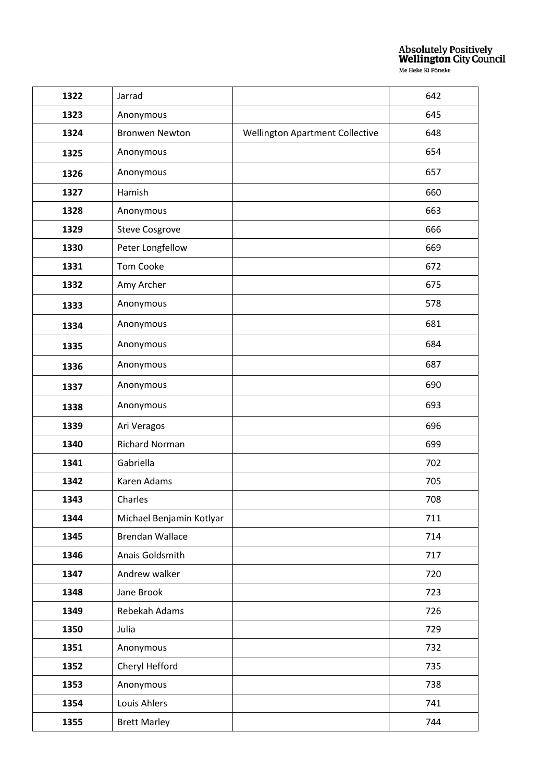| 1322 | Jarrad                   |                                 | 642 |
|------|--------------------------|---------------------------------|-----|
| 1323 | Anonymous                |                                 | 645 |
| 1324 | <b>Bronwen Newton</b>    | Wellington Apartment Collective | 648 |
| 1325 | Anonymous                |                                 | 654 |
| 1326 | Anonymous                |                                 | 657 |
| 1327 | Hamish                   |                                 | 660 |
| 1328 | Anonymous                |                                 | 663 |
| 1329 | <b>Steve Cosgrove</b>    |                                 | 666 |
| 1330 | Peter Longfellow         |                                 | 669 |
| 1331 | <b>Tom Cooke</b>         |                                 | 672 |
| 1332 | Amy Archer               |                                 | 675 |
| 1333 | Anonymous                |                                 | 578 |
| 1334 | Anonymous                |                                 | 681 |
| 1335 | Anonymous                |                                 | 684 |
| 1336 | Anonymous                |                                 | 687 |
| 1337 | Anonymous                |                                 | 690 |
| 1338 | Anonymous                |                                 | 693 |
| 1339 | Ari Veragos              |                                 | 696 |
| 1340 | <b>Richard Norman</b>    |                                 | 699 |
| 1341 | Gabriella                |                                 | 702 |
| 1342 | Karen Adams              |                                 | 705 |
| 1343 | Charles                  |                                 | 708 |
| 1344 | Michael Benjamin Kotlyar |                                 | 711 |
| 1345 | <b>Brendan Wallace</b>   |                                 | 714 |
| 1346 | Anais Goldsmith          |                                 | 717 |
| 1347 | Andrew walker            |                                 | 720 |
| 1348 | Jane Brook               |                                 | 723 |
| 1349 | Rebekah Adams            |                                 | 726 |
| 1350 | Julia                    |                                 | 729 |
| 1351 | Anonymous                |                                 | 732 |
| 1352 | Cheryl Hefford           |                                 | 735 |
| 1353 | Anonymous                |                                 | 738 |
| 1354 | Louis Ahlers             |                                 | 741 |
| 1355 | <b>Brett Marley</b>      |                                 | 744 |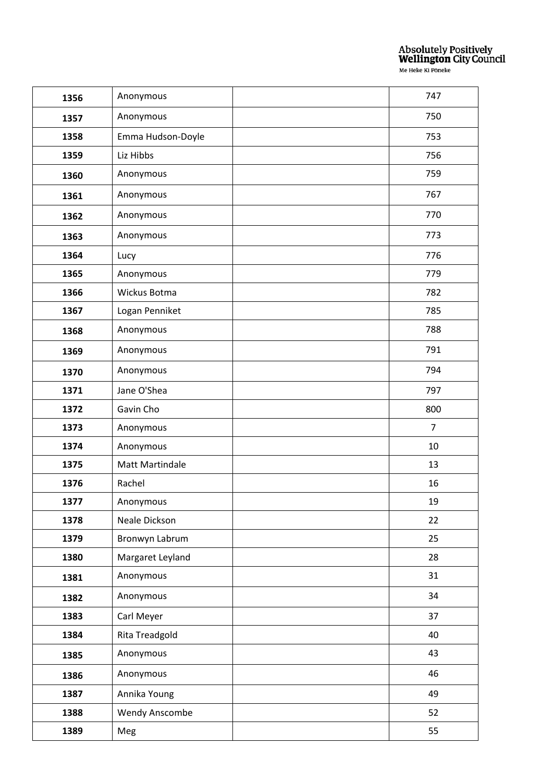| 1356 | Anonymous             | 747            |
|------|-----------------------|----------------|
| 1357 | Anonymous             | 750            |
| 1358 | Emma Hudson-Doyle     | 753            |
| 1359 | Liz Hibbs             | 756            |
| 1360 | Anonymous             | 759            |
| 1361 | Anonymous             | 767            |
| 1362 | Anonymous             | 770            |
| 1363 | Anonymous             | 773            |
| 1364 | Lucy                  | 776            |
| 1365 | Anonymous             | 779            |
| 1366 | Wickus Botma          | 782            |
| 1367 | Logan Penniket        | 785            |
| 1368 | Anonymous             | 788            |
| 1369 | Anonymous             | 791            |
| 1370 | Anonymous             | 794            |
| 1371 | Jane O'Shea           | 797            |
| 1372 | Gavin Cho             | 800            |
| 1373 | Anonymous             | $\overline{7}$ |
| 1374 | Anonymous             | 10             |
| 1375 | Matt Martindale       | 13             |
| 1376 | Rachel                | 16             |
| 1377 | Anonymous             | 19             |
| 1378 | Neale Dickson         | 22             |
| 1379 | Bronwyn Labrum        | 25             |
| 1380 | Margaret Leyland      | 28             |
| 1381 | Anonymous             | 31             |
| 1382 | Anonymous             | 34             |
| 1383 | Carl Meyer            | 37             |
| 1384 | Rita Treadgold        | 40             |
| 1385 | Anonymous             | 43             |
| 1386 | Anonymous             | 46             |
| 1387 | Annika Young          | 49             |
| 1388 | <b>Wendy Anscombe</b> | 52             |
| 1389 | Meg                   | 55             |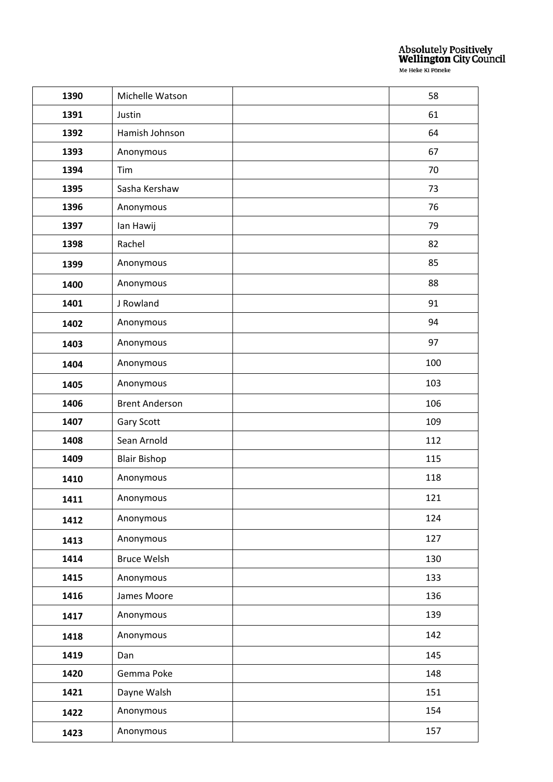| 1390 | Michelle Watson       | 58  |
|------|-----------------------|-----|
| 1391 | Justin                | 61  |
| 1392 | Hamish Johnson        | 64  |
| 1393 | Anonymous             | 67  |
| 1394 | Tim                   | 70  |
| 1395 | Sasha Kershaw         | 73  |
| 1396 | Anonymous             | 76  |
| 1397 | lan Hawij             | 79  |
| 1398 | Rachel                | 82  |
| 1399 | Anonymous             | 85  |
| 1400 | Anonymous             | 88  |
| 1401 | J Rowland             | 91  |
| 1402 | Anonymous             | 94  |
| 1403 | Anonymous             | 97  |
| 1404 | Anonymous             | 100 |
| 1405 | Anonymous             | 103 |
| 1406 | <b>Brent Anderson</b> | 106 |
| 1407 | Gary Scott            | 109 |
| 1408 | Sean Arnold           | 112 |
| 1409 | <b>Blair Bishop</b>   | 115 |
| 1410 | Anonymous             | 118 |
| 1411 | Anonymous             | 121 |
| 1412 | Anonymous             | 124 |
| 1413 | Anonymous             | 127 |
| 1414 | <b>Bruce Welsh</b>    | 130 |
| 1415 | Anonymous             | 133 |
| 1416 | James Moore           | 136 |
| 1417 | Anonymous             | 139 |
| 1418 | Anonymous             | 142 |
| 1419 | Dan                   | 145 |
| 1420 | Gemma Poke            | 148 |
| 1421 | Dayne Walsh           | 151 |
| 1422 | Anonymous             | 154 |
| 1423 | Anonymous             | 157 |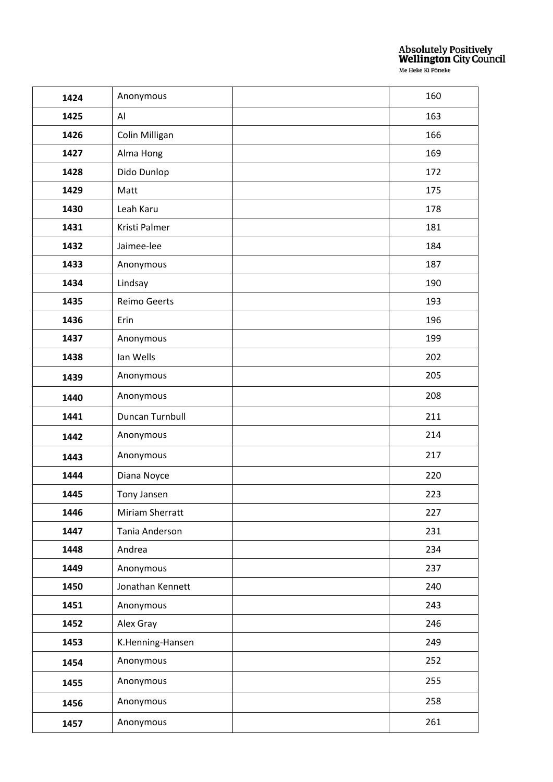| 1424 | Anonymous           | 160 |
|------|---------------------|-----|
| 1425 | AI                  | 163 |
| 1426 | Colin Milligan      | 166 |
| 1427 | Alma Hong           | 169 |
| 1428 | Dido Dunlop         | 172 |
| 1429 | Matt                | 175 |
| 1430 | Leah Karu           | 178 |
| 1431 | Kristi Palmer       | 181 |
| 1432 | Jaimee-lee          | 184 |
| 1433 | Anonymous           | 187 |
| 1434 | Lindsay             | 190 |
| 1435 | <b>Reimo Geerts</b> | 193 |
| 1436 | Erin                | 196 |
| 1437 | Anonymous           | 199 |
| 1438 | Ian Wells           | 202 |
| 1439 | Anonymous           | 205 |
| 1440 | Anonymous           | 208 |
| 1441 | Duncan Turnbull     | 211 |
| 1442 | Anonymous           | 214 |
| 1443 | Anonymous           | 217 |
| 1444 | Diana Noyce         | 220 |
| 1445 | Tony Jansen         | 223 |
| 1446 | Miriam Sherratt     | 227 |
| 1447 | Tania Anderson      | 231 |
| 1448 | Andrea              | 234 |
| 1449 | Anonymous           | 237 |
| 1450 | Jonathan Kennett    | 240 |
| 1451 | Anonymous           | 243 |
| 1452 | Alex Gray           | 246 |
| 1453 | K.Henning-Hansen    | 249 |
| 1454 | Anonymous           | 252 |
| 1455 | Anonymous           | 255 |
| 1456 | Anonymous           | 258 |
| 1457 | Anonymous           | 261 |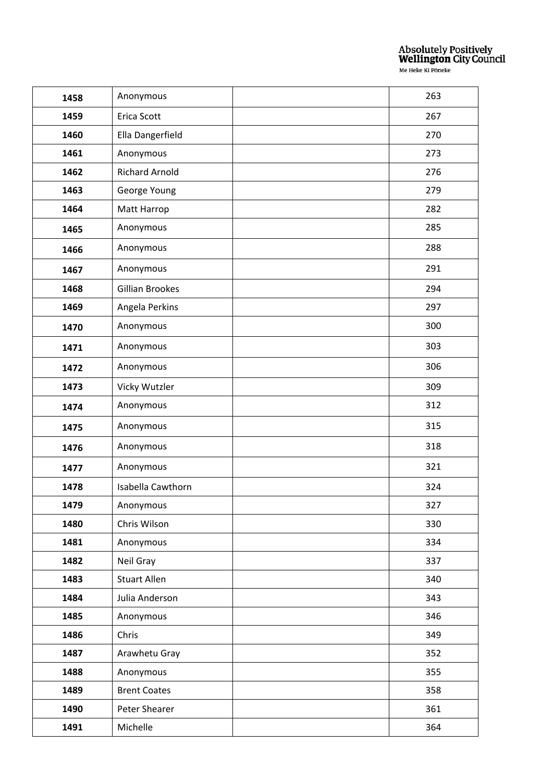| 1458 | Anonymous              | 263 |
|------|------------------------|-----|
| 1459 | Erica Scott            | 267 |
| 1460 | Ella Dangerfield       | 270 |
| 1461 | Anonymous              | 273 |
| 1462 | <b>Richard Arnold</b>  | 276 |
| 1463 | George Young           | 279 |
| 1464 | Matt Harrop            | 282 |
| 1465 | Anonymous              | 285 |
| 1466 | Anonymous              | 288 |
| 1467 | Anonymous              | 291 |
| 1468 | <b>Gillian Brookes</b> | 294 |
| 1469 | Angela Perkins         | 297 |
| 1470 | Anonymous              | 300 |
| 1471 | Anonymous              | 303 |
| 1472 | Anonymous              | 306 |
| 1473 | Vicky Wutzler          | 309 |
| 1474 | Anonymous              | 312 |
| 1475 | Anonymous              | 315 |
| 1476 | Anonymous              | 318 |
| 1477 | Anonymous              | 321 |
| 1478 | Isabella Cawthorn      | 324 |
| 1479 | Anonymous              | 327 |
| 1480 | Chris Wilson           | 330 |
| 1481 | Anonymous              | 334 |
| 1482 | Neil Gray              | 337 |
| 1483 | Stuart Allen           | 340 |
| 1484 | Julia Anderson         | 343 |
| 1485 | Anonymous              | 346 |
| 1486 | Chris                  | 349 |
| 1487 | Arawhetu Gray          | 352 |
| 1488 | Anonymous              | 355 |
| 1489 | <b>Brent Coates</b>    | 358 |
| 1490 | Peter Shearer          | 361 |
| 1491 | Michelle               | 364 |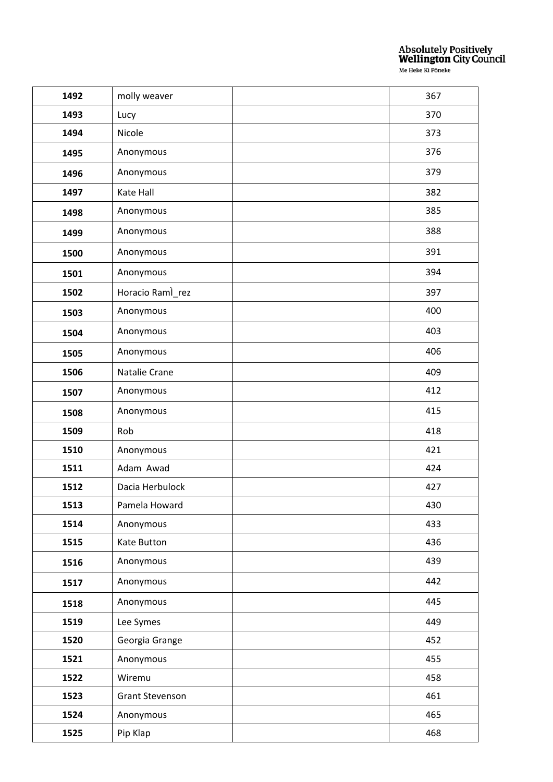| 1492 | molly weaver           | 367 |
|------|------------------------|-----|
| 1493 | Lucy                   | 370 |
| 1494 | Nicole                 | 373 |
| 1495 | Anonymous              | 376 |
| 1496 | Anonymous              | 379 |
| 1497 | Kate Hall              | 382 |
| 1498 | Anonymous              | 385 |
| 1499 | Anonymous              | 388 |
| 1500 | Anonymous              | 391 |
| 1501 | Anonymous              | 394 |
| 1502 | Horacio Ramì_rez       | 397 |
| 1503 | Anonymous              | 400 |
| 1504 | Anonymous              | 403 |
| 1505 | Anonymous              | 406 |
| 1506 | Natalie Crane          | 409 |
| 1507 | Anonymous              | 412 |
| 1508 | Anonymous              | 415 |
| 1509 | Rob                    | 418 |
| 1510 | Anonymous              | 421 |
| 1511 | Adam Awad              | 424 |
| 1512 | Dacia Herbulock        | 427 |
| 1513 | Pamela Howard          | 430 |
| 1514 | Anonymous              | 433 |
| 1515 | Kate Button            | 436 |
| 1516 | Anonymous              | 439 |
| 1517 | Anonymous              | 442 |
| 1518 | Anonymous              | 445 |
| 1519 | Lee Symes              | 449 |
| 1520 | Georgia Grange         | 452 |
| 1521 | Anonymous              | 455 |
| 1522 | Wiremu                 | 458 |
| 1523 | <b>Grant Stevenson</b> | 461 |
| 1524 | Anonymous              | 465 |
| 1525 | Pip Klap               | 468 |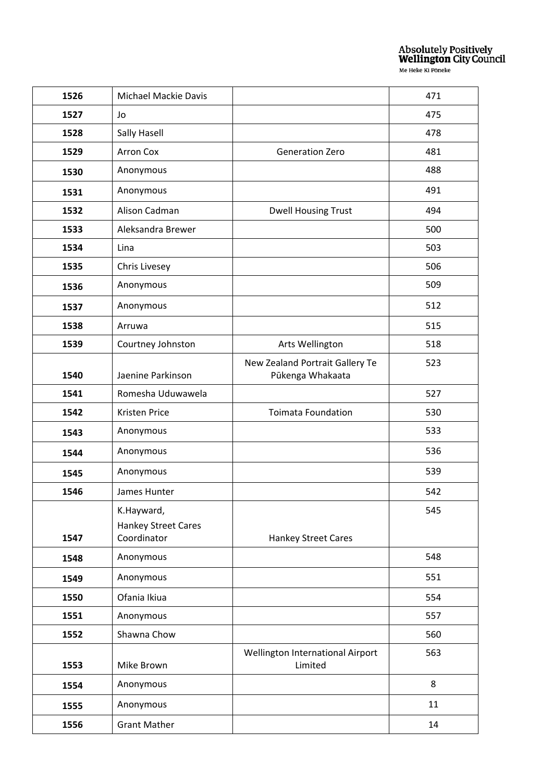| 1526         | <b>Michael Mackie Davis</b>                      |                                                     | 471 |
|--------------|--------------------------------------------------|-----------------------------------------------------|-----|
| 1527         | Jo                                               |                                                     | 475 |
| 1528         | Sally Hasell                                     |                                                     | 478 |
| 1529         | <b>Arron Cox</b>                                 | <b>Generation Zero</b>                              | 481 |
| 1530         | Anonymous                                        |                                                     | 488 |
| 1531         | Anonymous                                        |                                                     | 491 |
| 1532         | Alison Cadman                                    | <b>Dwell Housing Trust</b>                          | 494 |
| 1533         | Aleksandra Brewer                                |                                                     | 500 |
| 1534         | Lina                                             |                                                     | 503 |
| 1535         | Chris Livesey                                    |                                                     | 506 |
| 1536         | Anonymous                                        |                                                     | 509 |
| 1537         | Anonymous                                        |                                                     | 512 |
| 1538         | Arruwa                                           |                                                     | 515 |
| 1539         | Courtney Johnston                                | Arts Wellington                                     | 518 |
| 1540         | Jaenine Parkinson                                | New Zealand Portrait Gallery Te<br>Pūkenga Whakaata | 523 |
| 1541         | Romesha Uduwawela                                |                                                     | 527 |
| 1542         | Kristen Price                                    | <b>Toimata Foundation</b>                           | 530 |
| 1543         | Anonymous                                        |                                                     | 533 |
| 1544         | Anonymous                                        |                                                     | 536 |
| 1545         | Anonymous                                        |                                                     | 539 |
| 1546         | James Hunter                                     |                                                     | 542 |
| 1547         | K.Hayward,<br>Hankey Street Cares<br>Coordinator | Hankey Street Cares                                 | 545 |
| 1548         | Anonymous                                        |                                                     | 548 |
|              | Anonymous                                        |                                                     | 551 |
| 1549<br>1550 | Ofania Ikiua                                     |                                                     | 554 |
| 1551         | Anonymous                                        |                                                     | 557 |
| 1552         | Shawna Chow                                      |                                                     | 560 |
|              |                                                  | Wellington International Airport                    | 563 |
| 1553         | Mike Brown                                       | Limited                                             |     |
| 1554         | Anonymous                                        |                                                     | 8   |
| 1555         | Anonymous                                        |                                                     | 11  |
| 1556         | <b>Grant Mather</b>                              |                                                     | 14  |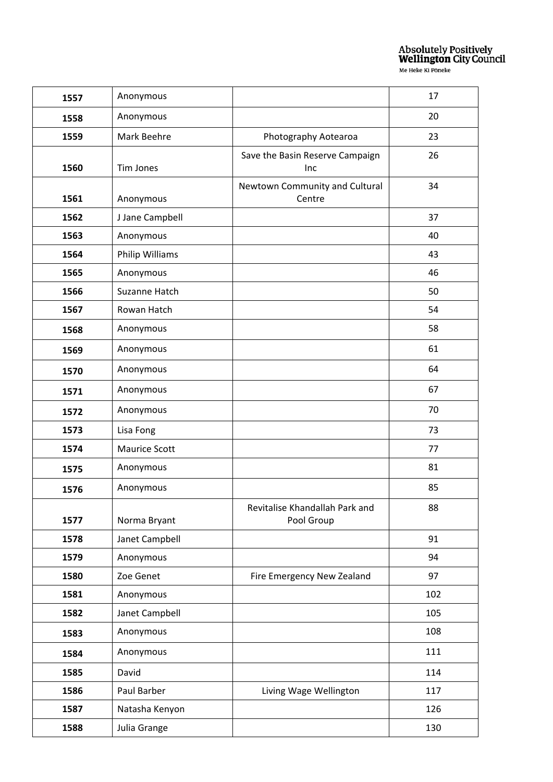| 1557 | Anonymous            |                                              | 17  |
|------|----------------------|----------------------------------------------|-----|
| 1558 | Anonymous            |                                              | 20  |
| 1559 | Mark Beehre          | Photography Aotearoa                         | 23  |
| 1560 | <b>Tim Jones</b>     | Save the Basin Reserve Campaign<br>Inc       | 26  |
|      |                      | Newtown Community and Cultural               | 34  |
| 1561 | Anonymous            | Centre                                       |     |
| 1562 | J Jane Campbell      |                                              | 37  |
| 1563 | Anonymous            |                                              | 40  |
| 1564 | Philip Williams      |                                              | 43  |
| 1565 | Anonymous            |                                              | 46  |
| 1566 | Suzanne Hatch        |                                              | 50  |
| 1567 | Rowan Hatch          |                                              | 54  |
| 1568 | Anonymous            |                                              | 58  |
| 1569 | Anonymous            |                                              | 61  |
| 1570 | Anonymous            |                                              | 64  |
| 1571 | Anonymous            |                                              | 67  |
| 1572 | Anonymous            |                                              | 70  |
| 1573 | Lisa Fong            |                                              | 73  |
| 1574 | <b>Maurice Scott</b> |                                              | 77  |
| 1575 | Anonymous            |                                              | 81  |
| 1576 | Anonymous            |                                              | 85  |
| 1577 | Norma Bryant         | Revitalise Khandallah Park and<br>Pool Group | 88  |
| 1578 | Janet Campbell       |                                              | 91  |
| 1579 | Anonymous            |                                              | 94  |
| 1580 | Zoe Genet            | Fire Emergency New Zealand                   | 97  |
| 1581 | Anonymous            |                                              | 102 |
| 1582 | Janet Campbell       |                                              | 105 |
| 1583 | Anonymous            |                                              | 108 |
| 1584 | Anonymous            |                                              | 111 |
| 1585 | David                |                                              | 114 |
| 1586 | Paul Barber          | Living Wage Wellington                       | 117 |
| 1587 | Natasha Kenyon       |                                              | 126 |
| 1588 | Julia Grange         |                                              | 130 |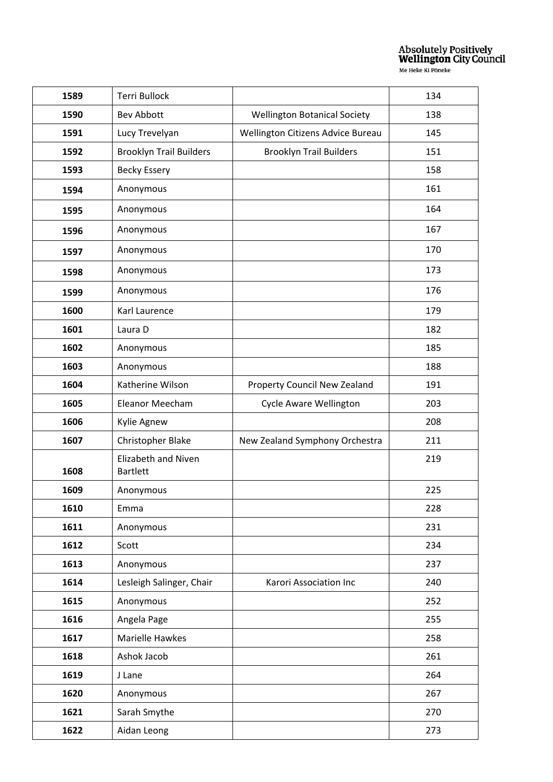| 1589 | <b>Terri Bullock</b>                          |                                     | 134 |
|------|-----------------------------------------------|-------------------------------------|-----|
| 1590 | <b>Bev Abbott</b>                             | <b>Wellington Botanical Society</b> | 138 |
| 1591 | Lucy Trevelyan                                | Wellington Citizens Advice Bureau   | 145 |
| 1592 | <b>Brooklyn Trail Builders</b>                | <b>Brooklyn Trail Builders</b>      | 151 |
| 1593 | <b>Becky Essery</b>                           |                                     | 158 |
| 1594 | Anonymous                                     |                                     | 161 |
| 1595 | Anonymous                                     |                                     | 164 |
| 1596 | Anonymous                                     |                                     | 167 |
| 1597 | Anonymous                                     |                                     | 170 |
| 1598 | Anonymous                                     |                                     | 173 |
| 1599 | Anonymous                                     |                                     | 176 |
| 1600 | Karl Laurence                                 |                                     | 179 |
| 1601 | Laura D                                       |                                     | 182 |
| 1602 | Anonymous                                     |                                     | 185 |
| 1603 | Anonymous                                     |                                     | 188 |
| 1604 | Katherine Wilson                              | Property Council New Zealand        | 191 |
| 1605 | Eleanor Meecham                               | Cycle Aware Wellington              | 203 |
| 1606 | Kylie Agnew                                   |                                     | 208 |
| 1607 | Christopher Blake                             | New Zealand Symphony Orchestra      | 211 |
| 1608 | <b>Elizabeth and Niven</b><br><b>Bartlett</b> |                                     | 219 |
| 1609 | Anonymous                                     |                                     | 225 |
| 1610 | Emma                                          |                                     | 228 |
| 1611 | Anonymous                                     |                                     | 231 |
| 1612 | Scott                                         |                                     | 234 |
| 1613 | Anonymous                                     |                                     | 237 |
| 1614 | Lesleigh Salinger, Chair                      | Karori Association Inc              | 240 |
| 1615 | Anonymous                                     |                                     | 252 |
| 1616 | Angela Page                                   |                                     | 255 |
| 1617 | Marielle Hawkes                               |                                     | 258 |
| 1618 | Ashok Jacob                                   |                                     | 261 |
| 1619 | J Lane                                        |                                     | 264 |
| 1620 | Anonymous                                     |                                     | 267 |
| 1621 | Sarah Smythe                                  |                                     | 270 |
| 1622 | Aidan Leong                                   |                                     | 273 |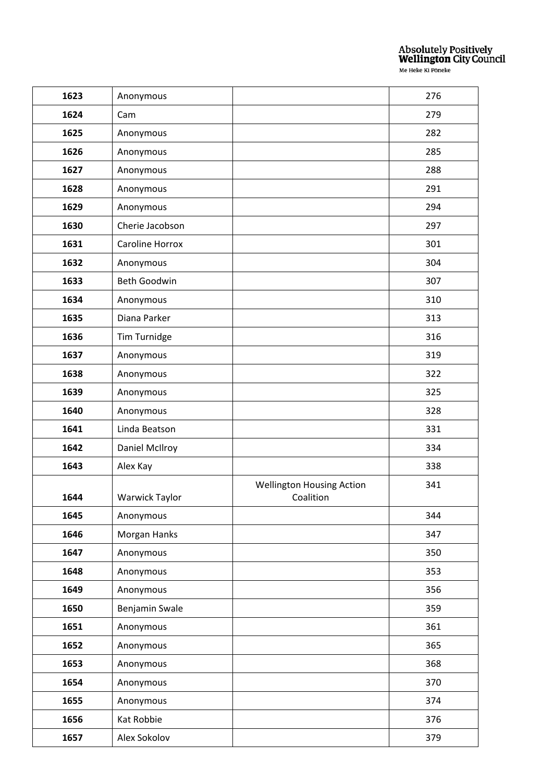| 1623 | Anonymous       |                                               | 276 |
|------|-----------------|-----------------------------------------------|-----|
| 1624 | Cam             |                                               | 279 |
| 1625 | Anonymous       |                                               | 282 |
| 1626 | Anonymous       |                                               | 285 |
| 1627 | Anonymous       |                                               | 288 |
| 1628 | Anonymous       |                                               | 291 |
| 1629 | Anonymous       |                                               | 294 |
| 1630 | Cherie Jacobson |                                               | 297 |
| 1631 | Caroline Horrox |                                               | 301 |
| 1632 | Anonymous       |                                               | 304 |
| 1633 | Beth Goodwin    |                                               | 307 |
| 1634 | Anonymous       |                                               | 310 |
| 1635 | Diana Parker    |                                               | 313 |
| 1636 | Tim Turnidge    |                                               | 316 |
| 1637 | Anonymous       |                                               | 319 |
| 1638 | Anonymous       |                                               | 322 |
| 1639 | Anonymous       |                                               | 325 |
| 1640 | Anonymous       |                                               | 328 |
| 1641 | Linda Beatson   |                                               | 331 |
| 1642 | Daniel McIlroy  |                                               | 334 |
| 1643 | Alex Kay        |                                               | 338 |
| 1644 | Warwick Taylor  | <b>Wellington Housing Action</b><br>Coalition | 341 |
| 1645 | Anonymous       |                                               | 344 |
| 1646 | Morgan Hanks    |                                               | 347 |
| 1647 | Anonymous       |                                               | 350 |
| 1648 | Anonymous       |                                               | 353 |
| 1649 | Anonymous       |                                               | 356 |
| 1650 | Benjamin Swale  |                                               | 359 |
| 1651 | Anonymous       |                                               | 361 |
| 1652 | Anonymous       |                                               | 365 |
| 1653 | Anonymous       |                                               | 368 |
| 1654 | Anonymous       |                                               | 370 |
| 1655 | Anonymous       |                                               | 374 |
| 1656 | Kat Robbie      |                                               | 376 |
|      |                 |                                               |     |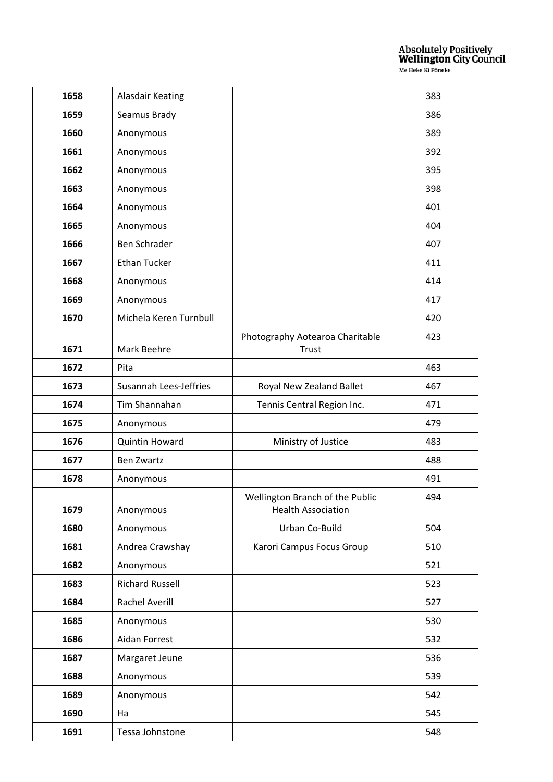| 1658 | Alasdair Keating              |                                                              | 383 |
|------|-------------------------------|--------------------------------------------------------------|-----|
| 1659 | Seamus Brady                  |                                                              | 386 |
| 1660 | Anonymous                     |                                                              | 389 |
| 1661 | Anonymous                     |                                                              | 392 |
| 1662 | Anonymous                     |                                                              | 395 |
| 1663 | Anonymous                     |                                                              | 398 |
| 1664 | Anonymous                     |                                                              | 401 |
| 1665 | Anonymous                     |                                                              | 404 |
| 1666 | Ben Schrader                  |                                                              | 407 |
| 1667 | <b>Ethan Tucker</b>           |                                                              | 411 |
| 1668 | Anonymous                     |                                                              | 414 |
| 1669 | Anonymous                     |                                                              | 417 |
| 1670 | Michela Keren Turnbull        |                                                              | 420 |
| 1671 | Mark Beehre                   | Photography Aotearoa Charitable<br>Trust                     | 423 |
| 1672 | Pita                          |                                                              | 463 |
| 1673 | <b>Susannah Lees-Jeffries</b> | Royal New Zealand Ballet                                     | 467 |
| 1674 | Tim Shannahan                 | Tennis Central Region Inc.                                   | 471 |
| 1675 | Anonymous                     |                                                              | 479 |
| 1676 | <b>Quintin Howard</b>         | Ministry of Justice                                          | 483 |
| 1677 | <b>Ben Zwartz</b>             |                                                              | 488 |
| 1678 | Anonymous                     |                                                              | 491 |
| 1679 | Anonymous                     | Wellington Branch of the Public<br><b>Health Association</b> | 494 |
| 1680 | Anonymous                     | Urban Co-Build                                               | 504 |
| 1681 | Andrea Crawshay               | Karori Campus Focus Group                                    | 510 |
| 1682 | Anonymous                     |                                                              | 521 |
| 1683 | <b>Richard Russell</b>        |                                                              | 523 |
| 1684 | <b>Rachel Averill</b>         |                                                              | 527 |
| 1685 | Anonymous                     |                                                              | 530 |
| 1686 | Aidan Forrest                 |                                                              | 532 |
| 1687 | Margaret Jeune                |                                                              | 536 |
| 1688 | Anonymous                     |                                                              | 539 |
| 1689 | Anonymous                     |                                                              | 542 |
| 1690 | Ha                            |                                                              | 545 |
| 1691 | Tessa Johnstone               |                                                              | 548 |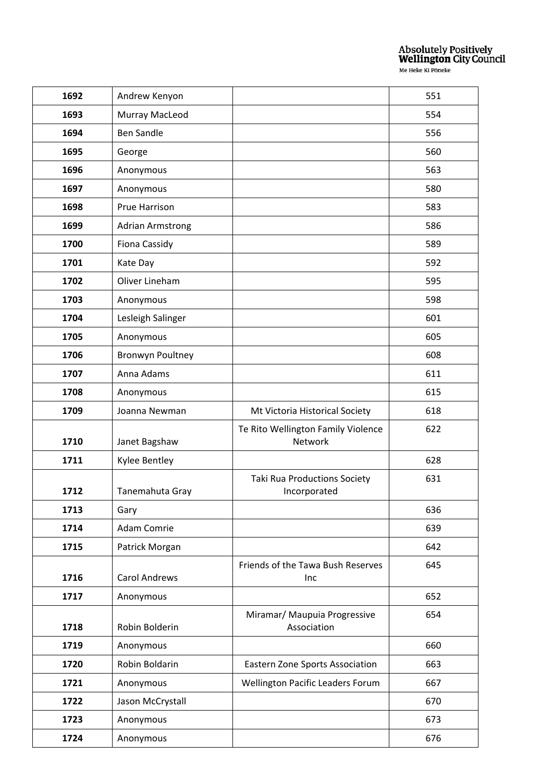| 1692 | Andrew Kenyon           |                                               | 551 |
|------|-------------------------|-----------------------------------------------|-----|
| 1693 | Murray MacLeod          |                                               | 554 |
| 1694 | <b>Ben Sandle</b>       |                                               | 556 |
| 1695 | George                  |                                               | 560 |
| 1696 | Anonymous               |                                               | 563 |
| 1697 | Anonymous               |                                               | 580 |
| 1698 | Prue Harrison           |                                               | 583 |
| 1699 | <b>Adrian Armstrong</b> |                                               | 586 |
| 1700 | Fiona Cassidy           |                                               | 589 |
| 1701 | Kate Day                |                                               | 592 |
| 1702 | Oliver Lineham          |                                               | 595 |
| 1703 | Anonymous               |                                               | 598 |
| 1704 | Lesleigh Salinger       |                                               | 601 |
| 1705 | Anonymous               |                                               | 605 |
| 1706 | <b>Bronwyn Poultney</b> |                                               | 608 |
| 1707 | Anna Adams              |                                               | 611 |
| 1708 | Anonymous               |                                               | 615 |
| 1709 | Joanna Newman           | Mt Victoria Historical Society                | 618 |
| 1710 | Janet Bagshaw           | Te Rito Wellington Family Violence<br>Network | 622 |
| 1711 | Kylee Bentley           |                                               | 628 |
| 1712 | Tanemahuta Gray         | Taki Rua Productions Society<br>Incorporated  | 631 |
| 1713 | Gary                    |                                               | 636 |
| 1714 | Adam Comrie             |                                               | 639 |
| 1715 | Patrick Morgan          |                                               | 642 |
| 1716 | <b>Carol Andrews</b>    | Friends of the Tawa Bush Reserves<br>Inc      | 645 |
| 1717 | Anonymous               |                                               | 652 |
| 1718 | Robin Bolderin          | Miramar/ Maupuia Progressive<br>Association   | 654 |
| 1719 | Anonymous               |                                               | 660 |
| 1720 | Robin Boldarin          | Eastern Zone Sports Association               | 663 |
| 1721 | Anonymous               | Wellington Pacific Leaders Forum              | 667 |
| 1722 | Jason McCrystall        |                                               | 670 |
| 1723 | Anonymous               |                                               | 673 |
| 1724 | Anonymous               |                                               | 676 |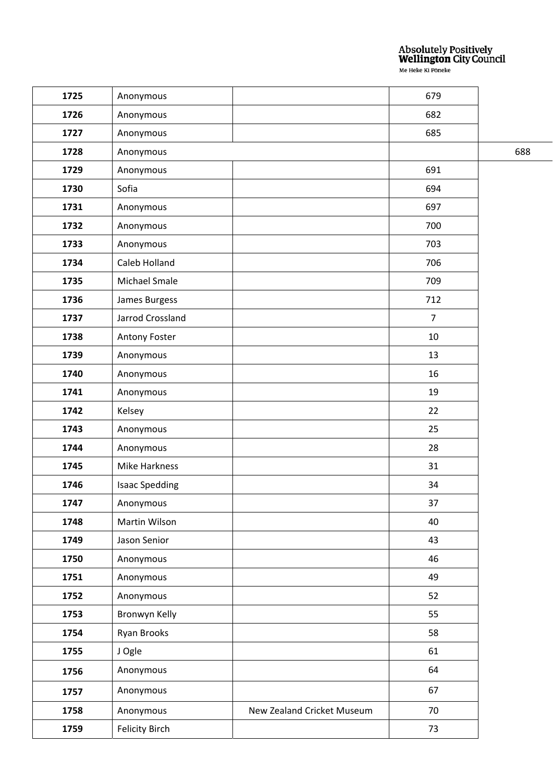| 1725 | Anonymous             |                            | 679            |     |
|------|-----------------------|----------------------------|----------------|-----|
| 1726 | Anonymous             |                            | 682            |     |
| 1727 | Anonymous             |                            | 685            |     |
| 1728 | Anonymous             |                            |                | 688 |
| 1729 | Anonymous             |                            | 691            |     |
| 1730 | Sofia                 |                            | 694            |     |
| 1731 | Anonymous             |                            | 697            |     |
| 1732 | Anonymous             |                            | 700            |     |
| 1733 | Anonymous             |                            | 703            |     |
| 1734 | Caleb Holland         |                            | 706            |     |
| 1735 | Michael Smale         |                            | 709            |     |
| 1736 | James Burgess         |                            | 712            |     |
| 1737 | Jarrod Crossland      |                            | $\overline{7}$ |     |
| 1738 | Antony Foster         |                            | 10             |     |
| 1739 | Anonymous             |                            | 13             |     |
| 1740 | Anonymous             |                            | 16             |     |
| 1741 | Anonymous             |                            | 19             |     |
| 1742 | Kelsey                |                            | 22             |     |
| 1743 | Anonymous             |                            | 25             |     |
| 1744 | Anonymous             |                            | 28             |     |
| 1745 | Mike Harkness         |                            | 31             |     |
| 1746 | <b>Isaac Spedding</b> |                            | 34             |     |
| 1747 | Anonymous             |                            | 37             |     |
| 1748 | Martin Wilson         |                            | 40             |     |
| 1749 | Jason Senior          |                            | 43             |     |
| 1750 | Anonymous             |                            | 46             |     |
| 1751 | Anonymous             |                            | 49             |     |
| 1752 | Anonymous             |                            | 52             |     |
| 1753 | Bronwyn Kelly         |                            | 55             |     |
| 1754 | Ryan Brooks           |                            | 58             |     |
| 1755 | J Ogle                |                            | 61             |     |
| 1756 | Anonymous             |                            | 64             |     |
| 1757 | Anonymous             |                            | 67             |     |
| 1758 | Anonymous             | New Zealand Cricket Museum | 70             |     |
| 1759 | <b>Felicity Birch</b> |                            | 73             |     |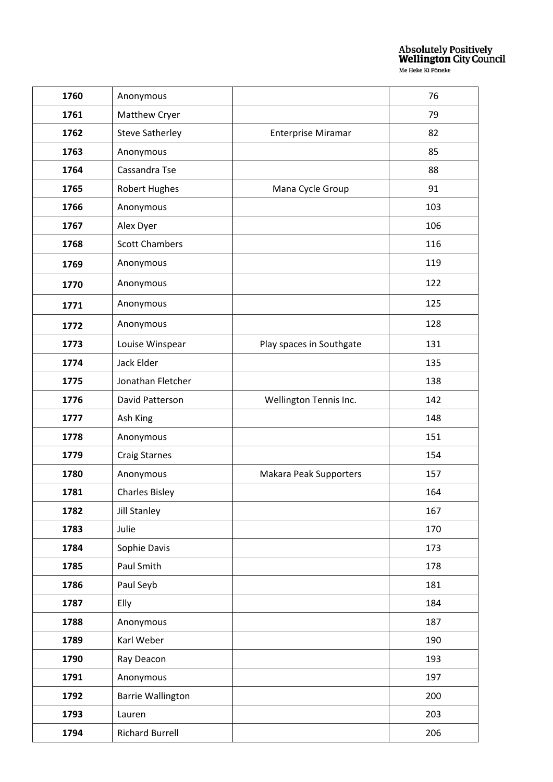| 1760 | Anonymous                |                           | 76  |
|------|--------------------------|---------------------------|-----|
| 1761 | Matthew Cryer            |                           | 79  |
| 1762 | <b>Steve Satherley</b>   | <b>Enterprise Miramar</b> | 82  |
| 1763 | Anonymous                |                           | 85  |
| 1764 | Cassandra Tse            |                           | 88  |
| 1765 | <b>Robert Hughes</b>     | Mana Cycle Group          | 91  |
| 1766 | Anonymous                |                           | 103 |
| 1767 | Alex Dyer                |                           | 106 |
| 1768 | <b>Scott Chambers</b>    |                           | 116 |
| 1769 | Anonymous                |                           | 119 |
| 1770 | Anonymous                |                           | 122 |
| 1771 | Anonymous                |                           | 125 |
| 1772 | Anonymous                |                           | 128 |
| 1773 | Louise Winspear          | Play spaces in Southgate  | 131 |
| 1774 | Jack Elder               |                           | 135 |
| 1775 | Jonathan Fletcher        |                           | 138 |
| 1776 | David Patterson          | Wellington Tennis Inc.    | 142 |
| 1777 | Ash King                 |                           | 148 |
| 1778 | Anonymous                |                           | 151 |
| 1779 | <b>Craig Starnes</b>     |                           | 154 |
| 1780 | Anonymous                | Makara Peak Supporters    | 157 |
| 1781 | <b>Charles Bisley</b>    |                           | 164 |
| 1782 | <b>Jill Stanley</b>      |                           | 167 |
| 1783 | Julie                    |                           | 170 |
| 1784 | Sophie Davis             |                           | 173 |
| 1785 | Paul Smith               |                           | 178 |
| 1786 | Paul Seyb                |                           | 181 |
| 1787 | Elly                     |                           | 184 |
| 1788 | Anonymous                |                           | 187 |
| 1789 | Karl Weber               |                           | 190 |
| 1790 | Ray Deacon               |                           | 193 |
| 1791 | Anonymous                |                           | 197 |
| 1792 | <b>Barrie Wallington</b> |                           | 200 |
| 1793 | Lauren                   |                           | 203 |
| 1794 | <b>Richard Burrell</b>   |                           | 206 |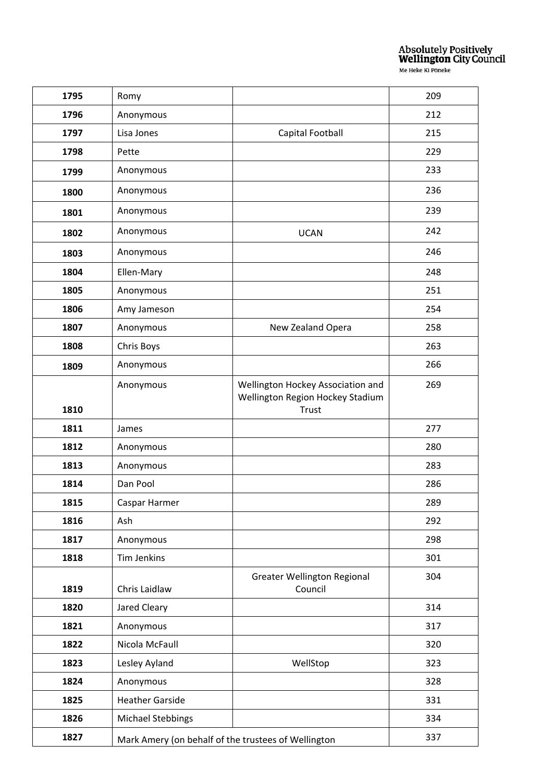| 1795 | Romy                                                |                                                                                | 209 |
|------|-----------------------------------------------------|--------------------------------------------------------------------------------|-----|
| 1796 | Anonymous                                           |                                                                                | 212 |
| 1797 | Lisa Jones                                          | Capital Football                                                               | 215 |
| 1798 | Pette                                               |                                                                                | 229 |
| 1799 | Anonymous                                           |                                                                                | 233 |
| 1800 | Anonymous                                           |                                                                                | 236 |
| 1801 | Anonymous                                           |                                                                                | 239 |
| 1802 | Anonymous                                           | <b>UCAN</b>                                                                    | 242 |
| 1803 | Anonymous                                           |                                                                                | 246 |
| 1804 | Ellen-Mary                                          |                                                                                | 248 |
| 1805 | Anonymous                                           |                                                                                | 251 |
| 1806 | Amy Jameson                                         |                                                                                | 254 |
| 1807 | Anonymous                                           | New Zealand Opera                                                              | 258 |
| 1808 | Chris Boys                                          |                                                                                | 263 |
| 1809 | Anonymous                                           |                                                                                | 266 |
| 1810 | Anonymous                                           | Wellington Hockey Association and<br>Wellington Region Hockey Stadium<br>Trust | 269 |
| 1811 | James                                               |                                                                                | 277 |
| 1812 | Anonymous                                           |                                                                                | 280 |
| 1813 | Anonymous                                           |                                                                                | 283 |
| 1814 | Dan Pool                                            |                                                                                | 286 |
| 1815 | Caspar Harmer                                       |                                                                                | 289 |
| 1816 | Ash                                                 |                                                                                | 292 |
| 1817 | Anonymous                                           |                                                                                | 298 |
| 1818 | Tim Jenkins                                         |                                                                                | 301 |
| 1819 | Chris Laidlaw                                       | <b>Greater Wellington Regional</b><br>Council                                  | 304 |
| 1820 | Jared Cleary                                        |                                                                                | 314 |
| 1821 | Anonymous                                           |                                                                                | 317 |
| 1822 | Nicola McFaull                                      |                                                                                | 320 |
| 1823 | Lesley Ayland                                       | WellStop                                                                       | 323 |
| 1824 | Anonymous                                           |                                                                                | 328 |
| 1825 | <b>Heather Garside</b>                              |                                                                                | 331 |
| 1826 | <b>Michael Stebbings</b>                            |                                                                                | 334 |
| 1827 | Mark Amery (on behalf of the trustees of Wellington |                                                                                | 337 |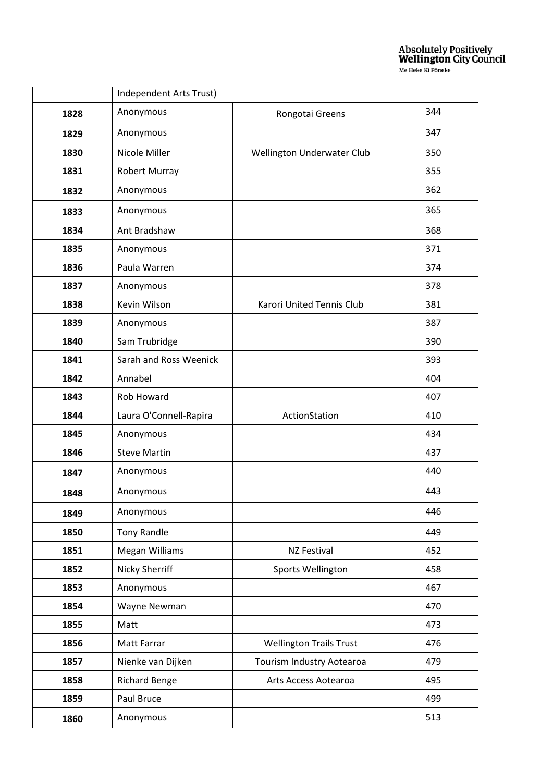|      | Independent Arts Trust) |                                |     |
|------|-------------------------|--------------------------------|-----|
| 1828 | Anonymous               | Rongotai Greens                | 344 |
| 1829 | Anonymous               |                                | 347 |
| 1830 | Nicole Miller           | Wellington Underwater Club     | 350 |
| 1831 | Robert Murray           |                                | 355 |
| 1832 | Anonymous               |                                | 362 |
| 1833 | Anonymous               |                                | 365 |
| 1834 | Ant Bradshaw            |                                | 368 |
| 1835 | Anonymous               |                                | 371 |
| 1836 | Paula Warren            |                                | 374 |
| 1837 | Anonymous               |                                | 378 |
| 1838 | Kevin Wilson            | Karori United Tennis Club      | 381 |
| 1839 | Anonymous               |                                | 387 |
| 1840 | Sam Trubridge           |                                | 390 |
| 1841 | Sarah and Ross Weenick  |                                | 393 |
| 1842 | Annabel                 |                                | 404 |
| 1843 | Rob Howard              |                                | 407 |
| 1844 | Laura O'Connell-Rapira  | ActionStation                  | 410 |
| 1845 | Anonymous               |                                | 434 |
| 1846 | <b>Steve Martin</b>     |                                | 437 |
| 1847 | Anonymous               |                                | 440 |
| 1848 | Anonymous               |                                | 443 |
| 1849 | Anonymous               |                                | 446 |
| 1850 | <b>Tony Randle</b>      |                                | 449 |
| 1851 | Megan Williams          | NZ Festival                    | 452 |
| 1852 | Nicky Sherriff          | Sports Wellington              | 458 |
| 1853 | Anonymous               |                                | 467 |
| 1854 | Wayne Newman            |                                | 470 |
| 1855 | Matt                    |                                | 473 |
| 1856 | Matt Farrar             | <b>Wellington Trails Trust</b> | 476 |
| 1857 | Nienke van Dijken       | Tourism Industry Aotearoa      | 479 |
| 1858 | <b>Richard Benge</b>    | Arts Access Aotearoa           | 495 |
| 1859 | Paul Bruce              |                                | 499 |
| 1860 | Anonymous               |                                | 513 |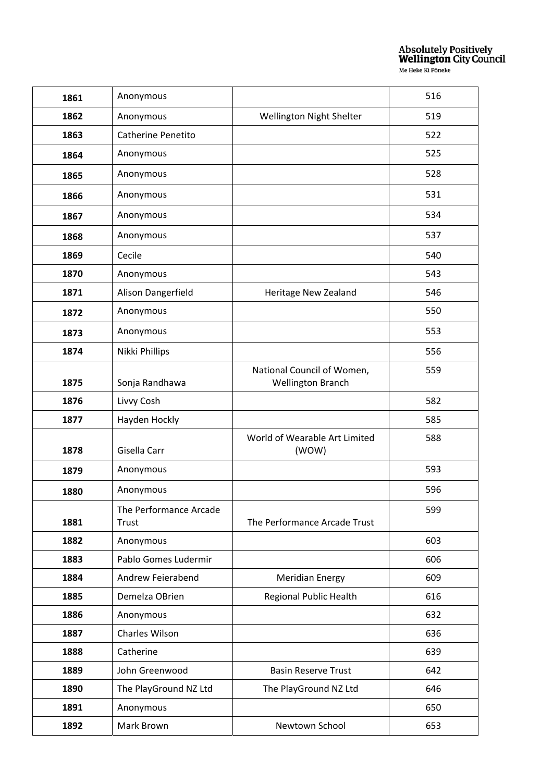| 1861 | Anonymous                 |                                                        | 516 |
|------|---------------------------|--------------------------------------------------------|-----|
| 1862 | Anonymous                 | Wellington Night Shelter                               | 519 |
| 1863 | <b>Catherine Penetito</b> |                                                        | 522 |
| 1864 | Anonymous                 |                                                        | 525 |
| 1865 | Anonymous                 |                                                        | 528 |
| 1866 | Anonymous                 |                                                        | 531 |
| 1867 | Anonymous                 |                                                        | 534 |
| 1868 | Anonymous                 |                                                        | 537 |
| 1869 | Cecile                    |                                                        | 540 |
| 1870 | Anonymous                 |                                                        | 543 |
| 1871 | Alison Dangerfield        | Heritage New Zealand                                   | 546 |
| 1872 | Anonymous                 |                                                        | 550 |
| 1873 | Anonymous                 |                                                        | 553 |
| 1874 | Nikki Phillips            |                                                        | 556 |
| 1875 | Sonja Randhawa            | National Council of Women,<br><b>Wellington Branch</b> | 559 |
| 1876 | Livvy Cosh                |                                                        | 582 |
| 1877 | Hayden Hockly             |                                                        | 585 |
| 1878 | Gisella Carr              | World of Wearable Art Limited<br>(WOW)                 | 588 |
| 1879 | Anonymous                 |                                                        | 593 |
| 1880 | Anonymous                 |                                                        | 596 |
|      | The Performance Arcade    |                                                        | 599 |
| 1881 | Trust                     | The Performance Arcade Trust                           |     |
| 1882 | Anonymous                 |                                                        | 603 |
| 1883 | Pablo Gomes Ludermir      |                                                        | 606 |
| 1884 | Andrew Feierabend         | <b>Meridian Energy</b>                                 | 609 |
| 1885 | Demelza OBrien            | Regional Public Health                                 | 616 |
| 1886 | Anonymous                 |                                                        | 632 |
| 1887 | Charles Wilson            |                                                        | 636 |
| 1888 | Catherine                 |                                                        | 639 |
| 1889 | John Greenwood            | <b>Basin Reserve Trust</b>                             | 642 |
| 1890 | The PlayGround NZ Ltd     | The PlayGround NZ Ltd                                  | 646 |
| 1891 | Anonymous                 |                                                        | 650 |
| 1892 | Mark Brown                | Newtown School                                         | 653 |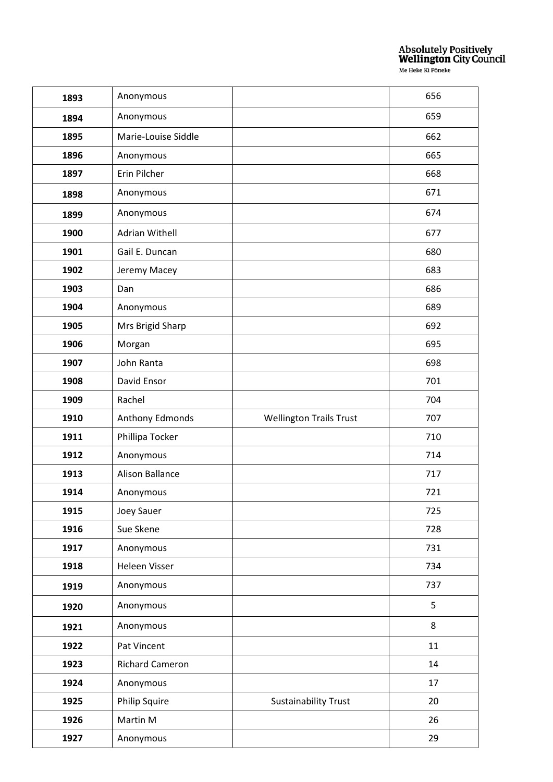| 1893 | Anonymous              |                                | 656 |
|------|------------------------|--------------------------------|-----|
| 1894 | Anonymous              |                                | 659 |
| 1895 | Marie-Louise Siddle    |                                | 662 |
| 1896 | Anonymous              |                                | 665 |
| 1897 | Erin Pilcher           |                                | 668 |
| 1898 | Anonymous              |                                | 671 |
| 1899 | Anonymous              |                                | 674 |
| 1900 | <b>Adrian Withell</b>  |                                | 677 |
| 1901 | Gail E. Duncan         |                                | 680 |
| 1902 | Jeremy Macey           |                                | 683 |
| 1903 | Dan                    |                                | 686 |
| 1904 | Anonymous              |                                | 689 |
| 1905 | Mrs Brigid Sharp       |                                | 692 |
| 1906 | Morgan                 |                                | 695 |
| 1907 | John Ranta             |                                | 698 |
| 1908 | David Ensor            |                                | 701 |
| 1909 | Rachel                 |                                | 704 |
| 1910 | Anthony Edmonds        | <b>Wellington Trails Trust</b> | 707 |
| 1911 | Phillipa Tocker        |                                | 710 |
| 1912 | Anonymous              |                                | 714 |
| 1913 | <b>Alison Ballance</b> |                                | 717 |
| 1914 | Anonymous              |                                | 721 |
| 1915 | Joey Sauer             |                                | 725 |
| 1916 | Sue Skene              |                                | 728 |
| 1917 | Anonymous              |                                | 731 |
| 1918 | Heleen Visser          |                                | 734 |
| 1919 | Anonymous              |                                | 737 |
| 1920 | Anonymous              |                                | 5   |
| 1921 | Anonymous              |                                | 8   |
| 1922 | Pat Vincent            |                                | 11  |
| 1923 | <b>Richard Cameron</b> |                                | 14  |
| 1924 | Anonymous              |                                | 17  |
| 1925 | <b>Philip Squire</b>   | <b>Sustainability Trust</b>    | 20  |
| 1926 | Martin M               |                                | 26  |
| 1927 | Anonymous              |                                | 29  |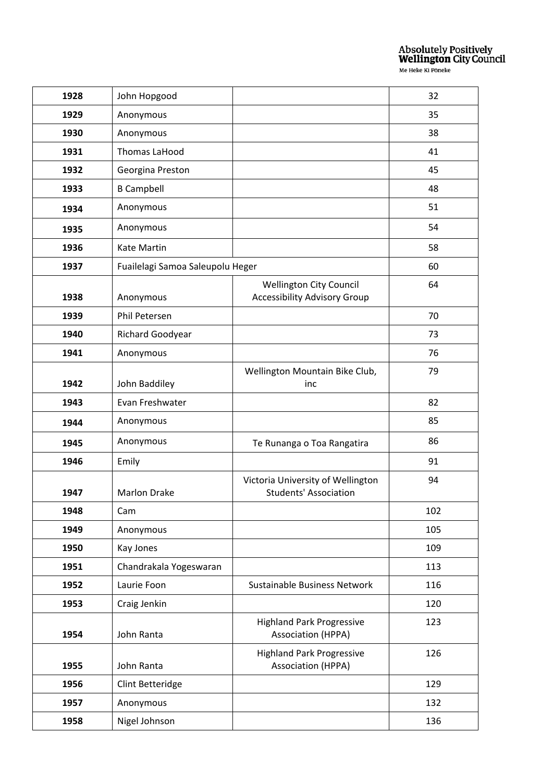| 1928 | John Hopgood                     |                                                                       | 32  |
|------|----------------------------------|-----------------------------------------------------------------------|-----|
| 1929 | Anonymous                        |                                                                       | 35  |
| 1930 | Anonymous                        |                                                                       | 38  |
| 1931 | <b>Thomas LaHood</b>             |                                                                       | 41  |
| 1932 | Georgina Preston                 |                                                                       | 45  |
| 1933 | <b>B</b> Campbell                |                                                                       | 48  |
| 1934 | Anonymous                        |                                                                       | 51  |
| 1935 | Anonymous                        |                                                                       | 54  |
| 1936 | Kate Martin                      |                                                                       | 58  |
| 1937 | Fuailelagi Samoa Saleupolu Heger |                                                                       | 60  |
| 1938 | Anonymous                        | <b>Wellington City Council</b><br><b>Accessibility Advisory Group</b> | 64  |
| 1939 | Phil Petersen                    |                                                                       | 70  |
| 1940 | Richard Goodyear                 |                                                                       | 73  |
| 1941 | Anonymous                        |                                                                       | 76  |
| 1942 | John Baddiley                    | Wellington Mountain Bike Club,<br>inc                                 | 79  |
| 1943 | Evan Freshwater                  |                                                                       | 82  |
| 1944 | Anonymous                        |                                                                       | 85  |
| 1945 | Anonymous                        | Te Runanga o Toa Rangatira                                            | 86  |
| 1946 | Emily                            |                                                                       | 91  |
| 1947 | <b>Marlon Drake</b>              | Victoria University of Wellington<br><b>Students' Association</b>     | 94  |
| 1948 | Cam                              |                                                                       | 102 |
| 1949 | Anonymous                        |                                                                       | 105 |
| 1950 | Kay Jones                        |                                                                       | 109 |
| 1951 | Chandrakala Yogeswaran           |                                                                       | 113 |
| 1952 | Laurie Foon                      | Sustainable Business Network                                          | 116 |
| 1953 | Craig Jenkin                     |                                                                       | 120 |
| 1954 | John Ranta                       | <b>Highland Park Progressive</b><br><b>Association (HPPA)</b>         | 123 |
| 1955 | John Ranta                       | <b>Highland Park Progressive</b><br><b>Association (HPPA)</b>         | 126 |
| 1956 | Clint Betteridge                 |                                                                       | 129 |
| 1957 | Anonymous                        |                                                                       | 132 |
| 1958 | Nigel Johnson                    |                                                                       | 136 |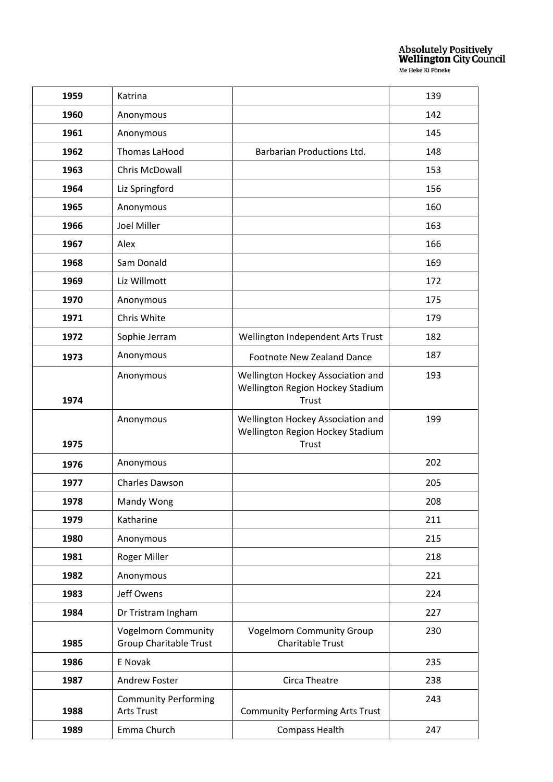| 1959 | Katrina                                                     |                                                                                | 139 |
|------|-------------------------------------------------------------|--------------------------------------------------------------------------------|-----|
| 1960 | Anonymous                                                   |                                                                                | 142 |
| 1961 | Anonymous                                                   |                                                                                | 145 |
| 1962 | Thomas LaHood                                               | <b>Barbarian Productions Ltd.</b>                                              | 148 |
| 1963 | Chris McDowall                                              |                                                                                | 153 |
| 1964 | Liz Springford                                              |                                                                                | 156 |
| 1965 | Anonymous                                                   |                                                                                | 160 |
| 1966 | <b>Joel Miller</b>                                          |                                                                                | 163 |
| 1967 | Alex                                                        |                                                                                | 166 |
| 1968 | Sam Donald                                                  |                                                                                | 169 |
| 1969 | Liz Willmott                                                |                                                                                | 172 |
| 1970 | Anonymous                                                   |                                                                                | 175 |
| 1971 | Chris White                                                 |                                                                                | 179 |
| 1972 | Sophie Jerram                                               | Wellington Independent Arts Trust                                              | 182 |
| 1973 | Anonymous                                                   | Footnote New Zealand Dance                                                     | 187 |
| 1974 | Anonymous                                                   | Wellington Hockey Association and<br>Wellington Region Hockey Stadium<br>Trust | 193 |
| 1975 | Anonymous                                                   | Wellington Hockey Association and<br>Wellington Region Hockey Stadium<br>Trust | 199 |
| 1976 | Anonymous                                                   |                                                                                | 202 |
| 1977 | <b>Charles Dawson</b>                                       |                                                                                | 205 |
| 1978 | Mandy Wong                                                  |                                                                                | 208 |
| 1979 | Katharine                                                   |                                                                                | 211 |
| 1980 | Anonymous                                                   |                                                                                | 215 |
| 1981 | Roger Miller                                                |                                                                                | 218 |
| 1982 | Anonymous                                                   |                                                                                | 221 |
| 1983 | Jeff Owens                                                  |                                                                                | 224 |
| 1984 | Dr Tristram Ingham                                          |                                                                                | 227 |
| 1985 | <b>Vogelmorn Community</b><br><b>Group Charitable Trust</b> | <b>Vogelmorn Community Group</b><br><b>Charitable Trust</b>                    | 230 |
| 1986 | E Novak                                                     |                                                                                | 235 |
| 1987 | <b>Andrew Foster</b>                                        | Circa Theatre                                                                  | 238 |
| 1988 | <b>Community Performing</b><br><b>Arts Trust</b>            | <b>Community Performing Arts Trust</b>                                         | 243 |
| 1989 | Emma Church                                                 | <b>Compass Health</b>                                                          | 247 |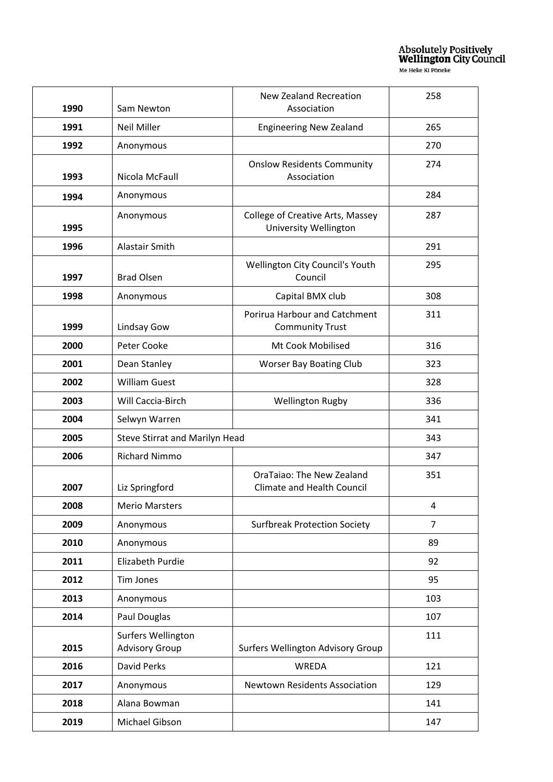| 1990 | Sam Newton                                  | <b>New Zealand Recreation</b><br>Association                     | 258            |
|------|---------------------------------------------|------------------------------------------------------------------|----------------|
| 1991 | Neil Miller                                 | <b>Engineering New Zealand</b>                                   | 265            |
| 1992 | Anonymous                                   |                                                                  | 270            |
| 1993 | Nicola McFaull                              | <b>Onslow Residents Community</b><br>Association                 | 274            |
| 1994 | Anonymous                                   |                                                                  | 284            |
| 1995 | Anonymous                                   | College of Creative Arts, Massey<br><b>University Wellington</b> | 287            |
| 1996 | Alastair Smith                              |                                                                  | 291            |
| 1997 | <b>Brad Olsen</b>                           | Wellington City Council's Youth<br>Council                       | 295            |
| 1998 | Anonymous                                   | Capital BMX club                                                 | 308            |
| 1999 | Lindsay Gow                                 | <b>Porirua Harbour and Catchment</b><br><b>Community Trust</b>   | 311            |
| 2000 | Peter Cooke                                 | Mt Cook Mobilised                                                | 316            |
| 2001 | Dean Stanley                                | <b>Worser Bay Boating Club</b>                                   | 323            |
| 2002 | <b>William Guest</b>                        |                                                                  | 328            |
| 2003 | Will Caccia-Birch                           | <b>Wellington Rugby</b>                                          | 336            |
| 2004 | Selwyn Warren                               |                                                                  | 341            |
| 2005 | Steve Stirrat and Marilyn Head              |                                                                  | 343            |
| 2006 | <b>Richard Nimmo</b>                        |                                                                  | 347            |
| 2007 | Liz Springford                              | OraTaiao: The New Zealand<br><b>Climate and Health Council</b>   | 351            |
| 2008 | <b>Merio Marsters</b>                       |                                                                  | 4              |
| 2009 | Anonymous                                   | <b>Surfbreak Protection Society</b>                              | $\overline{7}$ |
| 2010 | Anonymous                                   |                                                                  | 89             |
| 2011 | Elizabeth Purdie                            |                                                                  | 92             |
| 2012 | Tim Jones                                   |                                                                  | 95             |
| 2013 | Anonymous                                   |                                                                  | 103            |
| 2014 | Paul Douglas                                |                                                                  | 107            |
| 2015 | Surfers Wellington<br><b>Advisory Group</b> | Surfers Wellington Advisory Group                                | 111            |
| 2016 | David Perks                                 | WREDA                                                            | 121            |
| 2017 | Anonymous                                   | Newtown Residents Association                                    | 129            |
| 2018 | Alana Bowman                                |                                                                  | 141            |
| 2019 | Michael Gibson                              |                                                                  | 147            |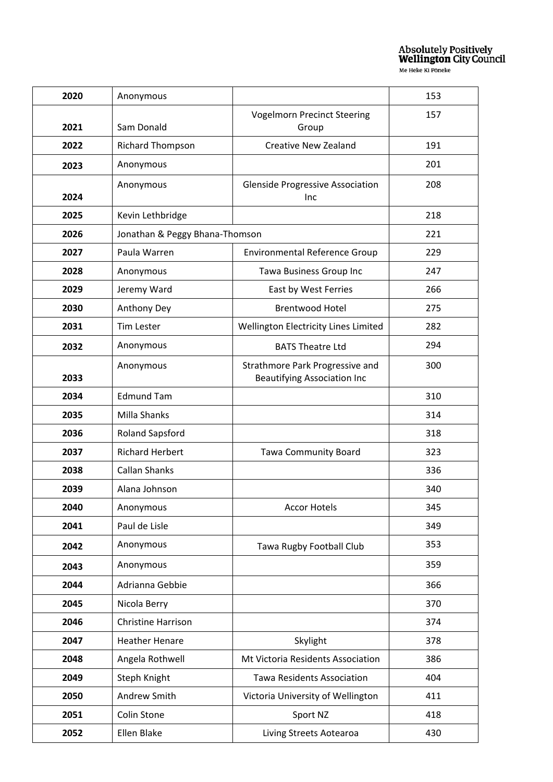| 2020 | Anonymous                      |                                                                       | 153 |
|------|--------------------------------|-----------------------------------------------------------------------|-----|
|      |                                | <b>Vogelmorn Precinct Steering</b>                                    | 157 |
| 2021 | Sam Donald                     | Group                                                                 |     |
| 2022 | <b>Richard Thompson</b>        | <b>Creative New Zealand</b>                                           | 191 |
| 2023 | Anonymous                      |                                                                       | 201 |
|      | Anonymous                      | <b>Glenside Progressive Association</b>                               | 208 |
| 2024 |                                | <b>Inc</b>                                                            |     |
| 2025 | Kevin Lethbridge               |                                                                       | 218 |
| 2026 | Jonathan & Peggy Bhana-Thomson |                                                                       | 221 |
| 2027 | Paula Warren                   | <b>Environmental Reference Group</b>                                  | 229 |
| 2028 | Anonymous                      | Tawa Business Group Inc                                               | 247 |
| 2029 | Jeremy Ward                    | East by West Ferries                                                  | 266 |
| 2030 | Anthony Dey                    | <b>Brentwood Hotel</b>                                                | 275 |
| 2031 | <b>Tim Lester</b>              | Wellington Electricity Lines Limited                                  | 282 |
| 2032 | Anonymous                      | <b>BATS Theatre Ltd</b>                                               | 294 |
| 2033 | Anonymous                      | Strathmore Park Progressive and<br><b>Beautifying Association Inc</b> | 300 |
| 2034 | <b>Edmund Tam</b>              |                                                                       | 310 |
| 2035 | Milla Shanks                   |                                                                       | 314 |
| 2036 | <b>Roland Sapsford</b>         |                                                                       | 318 |
| 2037 | <b>Richard Herbert</b>         |                                                                       | 323 |
|      |                                | <b>Tawa Community Board</b>                                           |     |
| 2038 | <b>Callan Shanks</b>           |                                                                       | 336 |
| 2039 | Alana Johnson                  |                                                                       | 340 |
| 2040 | Anonymous                      | <b>Accor Hotels</b>                                                   | 345 |
| 2041 | Paul de Lisle                  |                                                                       | 349 |
| 2042 | Anonymous                      | Tawa Rugby Football Club                                              | 353 |
| 2043 | Anonymous                      |                                                                       | 359 |
| 2044 | Adrianna Gebbie                |                                                                       | 366 |
| 2045 | Nicola Berry                   |                                                                       | 370 |
| 2046 | <b>Christine Harrison</b>      |                                                                       | 374 |
| 2047 | <b>Heather Henare</b>          | Skylight                                                              | 378 |
| 2048 | Angela Rothwell                | Mt Victoria Residents Association                                     | 386 |
| 2049 | Steph Knight                   | <b>Tawa Residents Association</b>                                     | 404 |
| 2050 | Andrew Smith                   | Victoria University of Wellington                                     | 411 |
| 2051 | Colin Stone                    | Sport NZ                                                              | 418 |
| 2052 | Ellen Blake                    | Living Streets Aotearoa                                               | 430 |